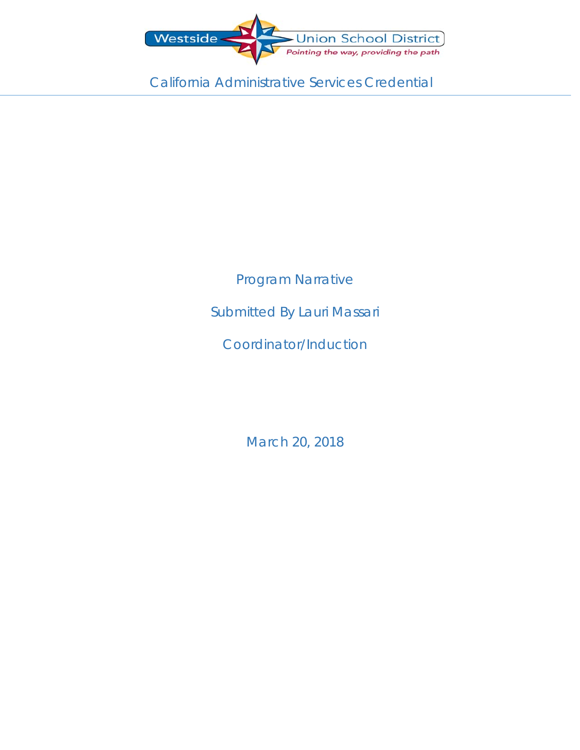

Program Narrative Submitted By Lauri Massari Coordinator/Induction

March 20, 2018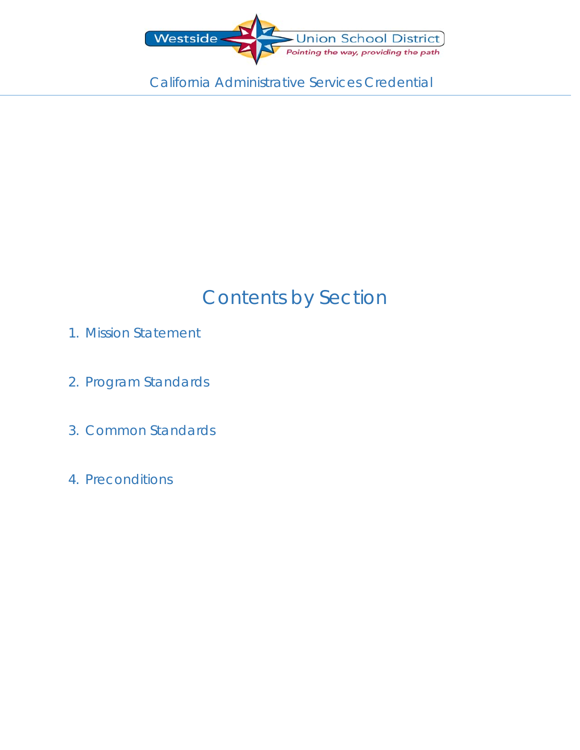

## Contents by Section

- 1. Mission Statement
- 2. Program Standards
- 3. Common Standards
- 4. Preconditions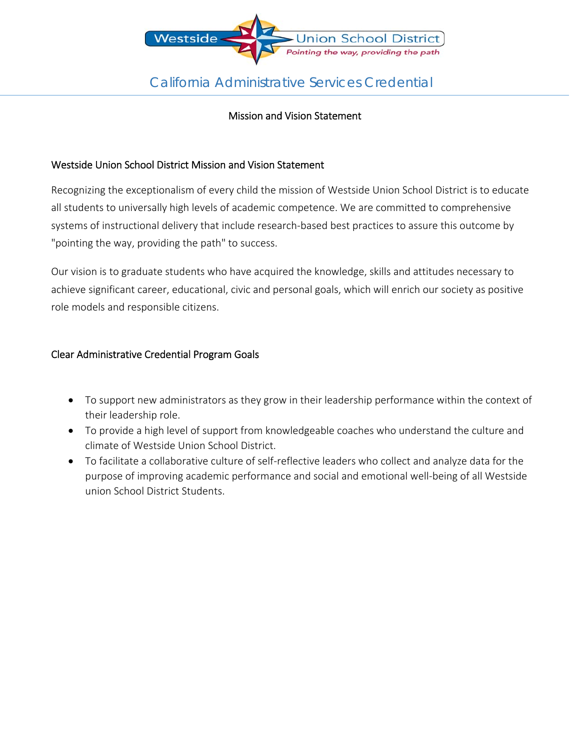

### Mission and Vision Statement

### Westside Union School District Mission and Vision Statement

Recognizing the exceptionalism of every child the mission of Westside Union School District is to educate all students to universally high levels of academic competence. We are committed to comprehensive systems of instructional delivery that include research-based best practices to assure this outcome by "pointing the way, providing the path" to success.

Our vision is to graduate students who have acquired the knowledge, skills and attitudes necessary to achieve significant career, educational, civic and personal goals, which will enrich our society as positive role models and responsible citizens.

### Clear Administrative Credential Program Goals

- To support new administrators as they grow in their leadership performance within the context of their leadership role.
- To provide a high level of support from knowledgeable coaches who understand the culture and climate of Westside Union School District.
- To facilitate a collaborative culture of self-reflective leaders who collect and analyze data for the purpose of improving academic performance and social and emotional well‐being of all Westside union School District Students.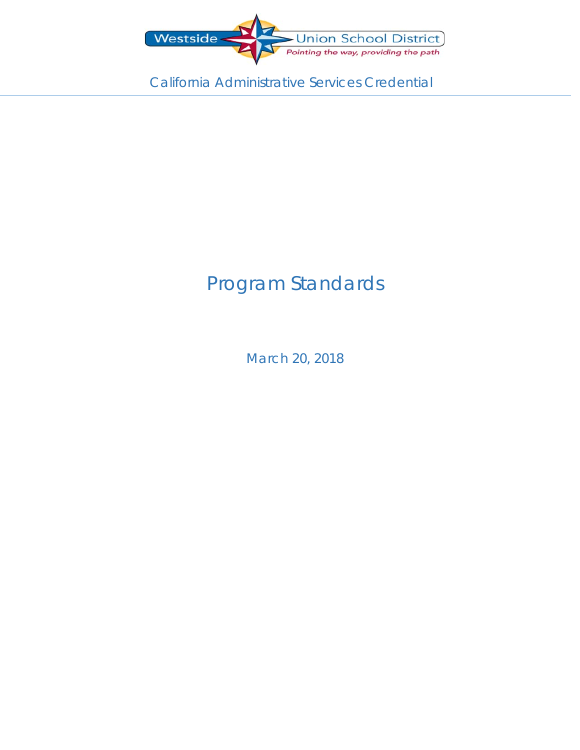

# Program Standards

March 20, 2018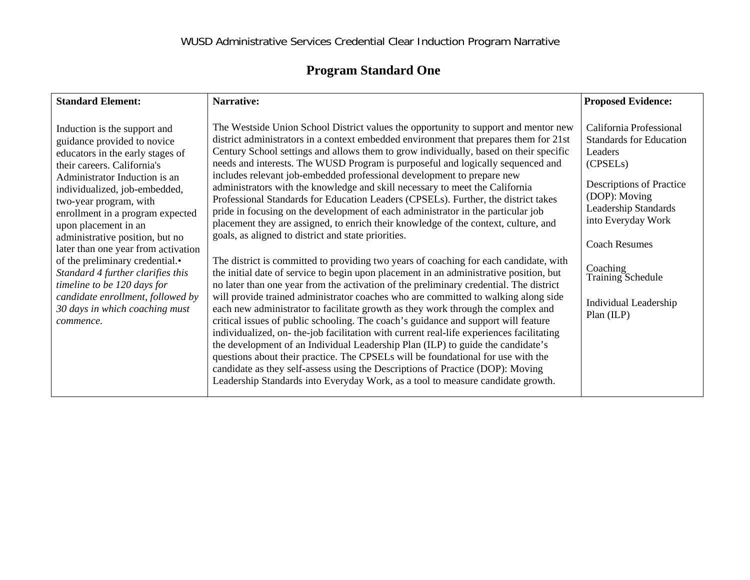## **Program Standard One**

| <b>Standard Element:</b>                                                                                                                                                                                                                                                                                                                                                                                                                                                                                                                                    | Narrative:                                                                                                                                                                                                                                                                                                                                                                                                                                                                                                                                                                                                                                                                                                                                                                                                                                                                                                                                                                                                                                                                                                                                                                                                                                                                                                                                                                                                                                                                                                                                                                                                                                                                                                                                                                                                                     | <b>Proposed Evidence:</b>                                                                                                                                                                                                                                                                       |
|-------------------------------------------------------------------------------------------------------------------------------------------------------------------------------------------------------------------------------------------------------------------------------------------------------------------------------------------------------------------------------------------------------------------------------------------------------------------------------------------------------------------------------------------------------------|--------------------------------------------------------------------------------------------------------------------------------------------------------------------------------------------------------------------------------------------------------------------------------------------------------------------------------------------------------------------------------------------------------------------------------------------------------------------------------------------------------------------------------------------------------------------------------------------------------------------------------------------------------------------------------------------------------------------------------------------------------------------------------------------------------------------------------------------------------------------------------------------------------------------------------------------------------------------------------------------------------------------------------------------------------------------------------------------------------------------------------------------------------------------------------------------------------------------------------------------------------------------------------------------------------------------------------------------------------------------------------------------------------------------------------------------------------------------------------------------------------------------------------------------------------------------------------------------------------------------------------------------------------------------------------------------------------------------------------------------------------------------------------------------------------------------------------|-------------------------------------------------------------------------------------------------------------------------------------------------------------------------------------------------------------------------------------------------------------------------------------------------|
| Induction is the support and<br>guidance provided to novice<br>educators in the early stages of<br>their careers. California's<br>Administrator Induction is an<br>individualized, job-embedded,<br>two-year program, with<br>enrollment in a program expected<br>upon placement in an<br>administrative position, but no<br>later than one year from activation<br>of the preliminary credential.•<br>Standard 4 further clarifies this<br>timeline to be 120 days for<br>candidate enrollment, followed by<br>30 days in which coaching must<br>commence. | The Westside Union School District values the opportunity to support and mentor new<br>district administrators in a context embedded environment that prepares them for 21st<br>Century School settings and allows them to grow individually, based on their specific<br>needs and interests. The WUSD Program is purposeful and logically sequenced and<br>includes relevant job-embedded professional development to prepare new<br>administrators with the knowledge and skill necessary to meet the California<br>Professional Standards for Education Leaders (CPSELs). Further, the district takes<br>pride in focusing on the development of each administrator in the particular job<br>placement they are assigned, to enrich their knowledge of the context, culture, and<br>goals, as aligned to district and state priorities.<br>The district is committed to providing two years of coaching for each candidate, with<br>the initial date of service to begin upon placement in an administrative position, but<br>no later than one year from the activation of the preliminary credential. The district<br>will provide trained administrator coaches who are committed to walking along side<br>each new administrator to facilitate growth as they work through the complex and<br>critical issues of public schooling. The coach's guidance and support will feature<br>individualized, on-the-job facilitation with current real-life experiences facilitating<br>the development of an Individual Leadership Plan (ILP) to guide the candidate's<br>questions about their practice. The CPSELs will be foundational for use with the<br>candidate as they self-assess using the Descriptions of Practice (DOP): Moving<br>Leadership Standards into Everyday Work, as a tool to measure candidate growth. | California Professional<br><b>Standards for Education</b><br>Leaders<br>(CPSEL <sub>s</sub> )<br><b>Descriptions of Practice</b><br>(DOP): Moving<br>Leadership Standards<br>into Everyday Work<br><b>Coach Resumes</b><br>Coaching<br>Training Schedule<br>Individual Leadership<br>Plan (ILP) |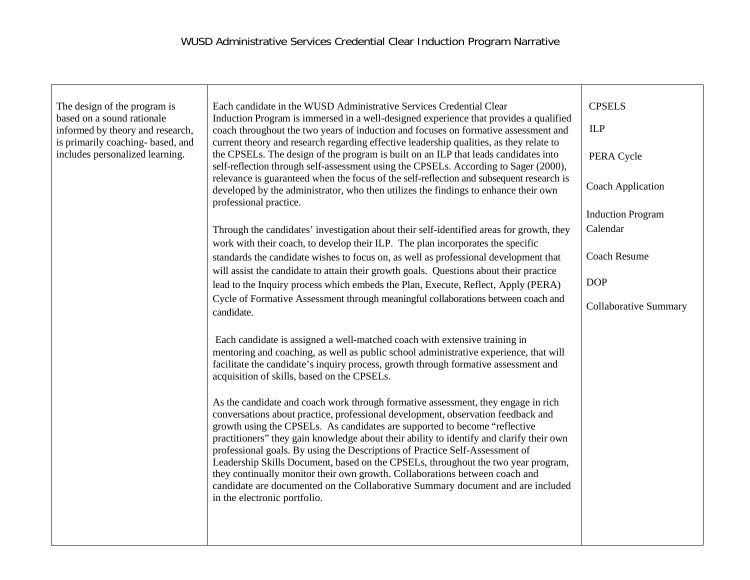| The design of the program is     | Each candidate in the WUSD Administrative Services Credential Clear                                                                                                              | <b>CPSELS</b>                |
|----------------------------------|----------------------------------------------------------------------------------------------------------------------------------------------------------------------------------|------------------------------|
| based on a sound rationale       | Induction Program is immersed in a well-designed experience that provides a qualified                                                                                            |                              |
| informed by theory and research, | coach throughout the two years of induction and focuses on formative assessment and                                                                                              | ILP                          |
| is primarily coaching-based, and | current theory and research regarding effective leadership qualities, as they relate to                                                                                          |                              |
| includes personalized learning.  | the CPSELs. The design of the program is built on an ILP that leads candidates into                                                                                              | PERA Cycle                   |
|                                  | self-reflection through self-assessment using the CPSELs. According to Sager (2000),<br>relevance is guaranteed when the focus of the self-reflection and subsequent research is |                              |
|                                  | developed by the administrator, who then utilizes the findings to enhance their own                                                                                              | <b>Coach Application</b>     |
|                                  | professional practice.                                                                                                                                                           |                              |
|                                  |                                                                                                                                                                                  | <b>Induction Program</b>     |
|                                  | Through the candidates' investigation about their self-identified areas for growth, they                                                                                         | Calendar                     |
|                                  | work with their coach, to develop their ILP. The plan incorporates the specific                                                                                                  |                              |
|                                  | standards the candidate wishes to focus on, as well as professional development that                                                                                             | <b>Coach Resume</b>          |
|                                  | will assist the candidate to attain their growth goals. Questions about their practice                                                                                           |                              |
|                                  | lead to the Inquiry process which embeds the Plan, Execute, Reflect, Apply (PERA)                                                                                                | <b>DOP</b>                   |
|                                  | Cycle of Formative Assessment through meaningful collaborations between coach and                                                                                                |                              |
|                                  | candidate.                                                                                                                                                                       | <b>Collaborative Summary</b> |
|                                  |                                                                                                                                                                                  |                              |
|                                  | Each candidate is assigned a well-matched coach with extensive training in                                                                                                       |                              |
|                                  | mentoring and coaching, as well as public school administrative experience, that will                                                                                            |                              |
|                                  | facilitate the candidate's inquiry process, growth through formative assessment and                                                                                              |                              |
|                                  | acquisition of skills, based on the CPSELs.                                                                                                                                      |                              |
|                                  |                                                                                                                                                                                  |                              |
|                                  | As the candidate and coach work through formative assessment, they engage in rich                                                                                                |                              |
|                                  | conversations about practice, professional development, observation feedback and                                                                                                 |                              |
|                                  | growth using the CPSELs. As candidates are supported to become "reflective"<br>practitioners" they gain knowledge about their ability to identify and clarify their own          |                              |
|                                  | professional goals. By using the Descriptions of Practice Self-Assessment of                                                                                                     |                              |
|                                  | Leadership Skills Document, based on the CPSELs, throughout the two year program,                                                                                                |                              |
|                                  | they continually monitor their own growth. Collaborations between coach and                                                                                                      |                              |
|                                  | candidate are documented on the Collaborative Summary document and are included                                                                                                  |                              |
|                                  | in the electronic portfolio.                                                                                                                                                     |                              |
|                                  |                                                                                                                                                                                  |                              |
|                                  |                                                                                                                                                                                  |                              |
|                                  |                                                                                                                                                                                  |                              |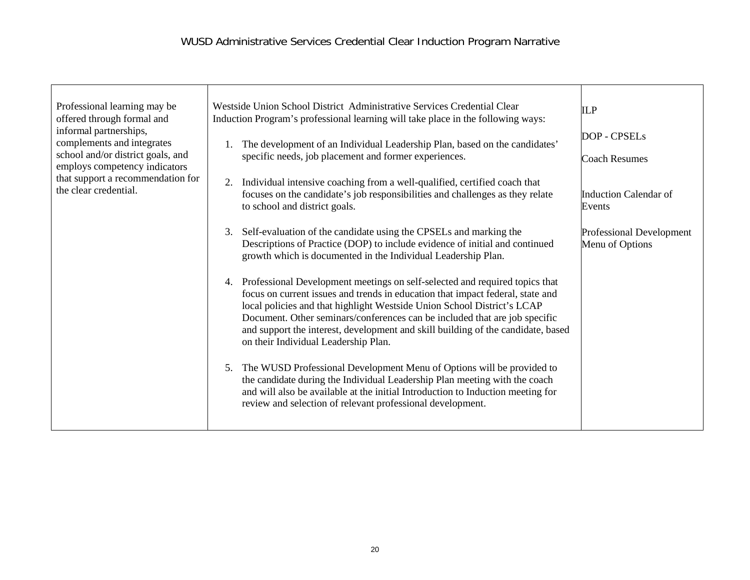| Professional learning may be<br>offered through formal and<br>informal partnerships,<br>complements and integrates<br>school and/or district goals, and<br>employs competency indicators<br>that support a recommendation for<br>the clear credential. | Westside Union School District Administrative Services Credential Clear<br>Induction Program's professional learning will take place in the following ways:<br>The development of an Individual Leadership Plan, based on the candidates'<br>specific needs, job placement and former experiences.                                                                                                                                                       | <b>ILP</b><br><b>DOP - CPSELs</b><br><b>Coach Resumes</b> |
|--------------------------------------------------------------------------------------------------------------------------------------------------------------------------------------------------------------------------------------------------------|----------------------------------------------------------------------------------------------------------------------------------------------------------------------------------------------------------------------------------------------------------------------------------------------------------------------------------------------------------------------------------------------------------------------------------------------------------|-----------------------------------------------------------|
|                                                                                                                                                                                                                                                        | Individual intensive coaching from a well-qualified, certified coach that<br>focuses on the candidate's job responsibilities and challenges as they relate<br>to school and district goals.                                                                                                                                                                                                                                                              | Induction Calendar of<br>Events                           |
|                                                                                                                                                                                                                                                        | Self-evaluation of the candidate using the CPSELs and marking the<br>3.<br>Descriptions of Practice (DOP) to include evidence of initial and continued<br>growth which is documented in the Individual Leadership Plan.                                                                                                                                                                                                                                  | <b>Professional Development</b><br>Menu of Options        |
|                                                                                                                                                                                                                                                        | Professional Development meetings on self-selected and required topics that<br>4.<br>focus on current issues and trends in education that impact federal, state and<br>local policies and that highlight Westside Union School District's LCAP<br>Document. Other seminars/conferences can be included that are job specific<br>and support the interest, development and skill building of the candidate, based<br>on their Individual Leadership Plan. |                                                           |
|                                                                                                                                                                                                                                                        | The WUSD Professional Development Menu of Options will be provided to<br>5.<br>the candidate during the Individual Leadership Plan meeting with the coach<br>and will also be available at the initial Introduction to Induction meeting for<br>review and selection of relevant professional development.                                                                                                                                               |                                                           |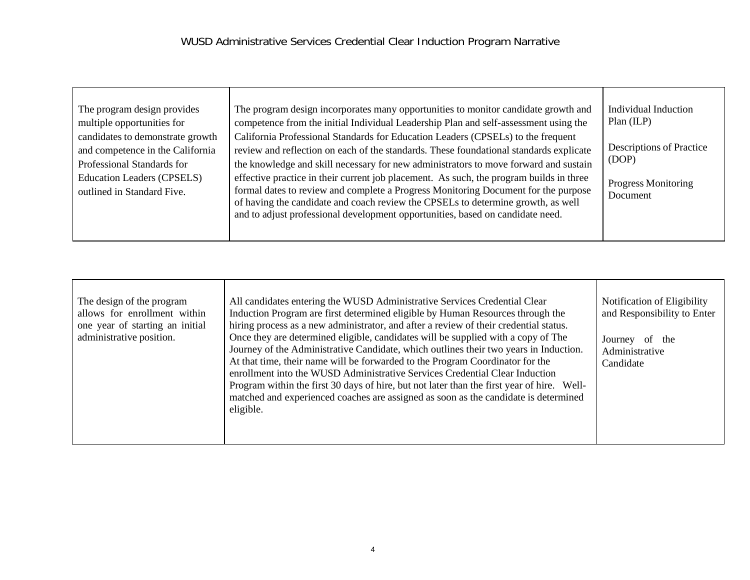| The program design provides       | The program design incorporates many opportunities to monitor candidate growth and      | Individual Induction            |
|-----------------------------------|-----------------------------------------------------------------------------------------|---------------------------------|
| multiple opportunities for        | competence from the initial Individual Leadership Plan and self-assessment using the    | $Plan$ (ILP)                    |
| candidates to demonstrate growth  | California Professional Standards for Education Leaders (CPSELs) to the frequent        |                                 |
| and competence in the California  | review and reflection on each of the standards. These foundational standards explicate  | <b>Descriptions of Practice</b> |
| Professional Standards for        | the knowledge and skill necessary for new administrators to move forward and sustain    | (DOP)                           |
| <b>Education Leaders (CPSELS)</b> | effective practice in their current job placement. As such, the program builds in three | <b>Progress Monitoring</b>      |
| outlined in Standard Five.        | formal dates to review and complete a Progress Monitoring Document for the purpose      | Document                        |
|                                   | of having the candidate and coach review the CPSELs to determine growth, as well        |                                 |
|                                   | and to adjust professional development opportunities, based on candidate need.          |                                 |
|                                   |                                                                                         |                                 |

| The design of the program<br>allows for enrollment within<br>one year of starting an initial<br>administrative position. | All candidates entering the WUSD Administrative Services Credential Clear<br>Induction Program are first determined eligible by Human Resources through the<br>hiring process as a new administrator, and after a review of their credential status.<br>Once they are determined eligible, candidates will be supplied with a copy of The<br>Journey of the Administrative Candidate, which outlines their two years in Induction.<br>At that time, their name will be forwarded to the Program Coordinator for the<br>enrollment into the WUSD Administrative Services Credential Clear Induction<br>Program within the first 30 days of hire, but not later than the first year of hire. Well-<br>matched and experienced coaches are assigned as soon as the candidate is determined<br>eligible. | Notification of Eligibility<br>and Responsibility to Enter<br>Journey of the<br>Administrative<br>Candidate |
|--------------------------------------------------------------------------------------------------------------------------|------------------------------------------------------------------------------------------------------------------------------------------------------------------------------------------------------------------------------------------------------------------------------------------------------------------------------------------------------------------------------------------------------------------------------------------------------------------------------------------------------------------------------------------------------------------------------------------------------------------------------------------------------------------------------------------------------------------------------------------------------------------------------------------------------|-------------------------------------------------------------------------------------------------------------|
|--------------------------------------------------------------------------------------------------------------------------|------------------------------------------------------------------------------------------------------------------------------------------------------------------------------------------------------------------------------------------------------------------------------------------------------------------------------------------------------------------------------------------------------------------------------------------------------------------------------------------------------------------------------------------------------------------------------------------------------------------------------------------------------------------------------------------------------------------------------------------------------------------------------------------------------|-------------------------------------------------------------------------------------------------------------|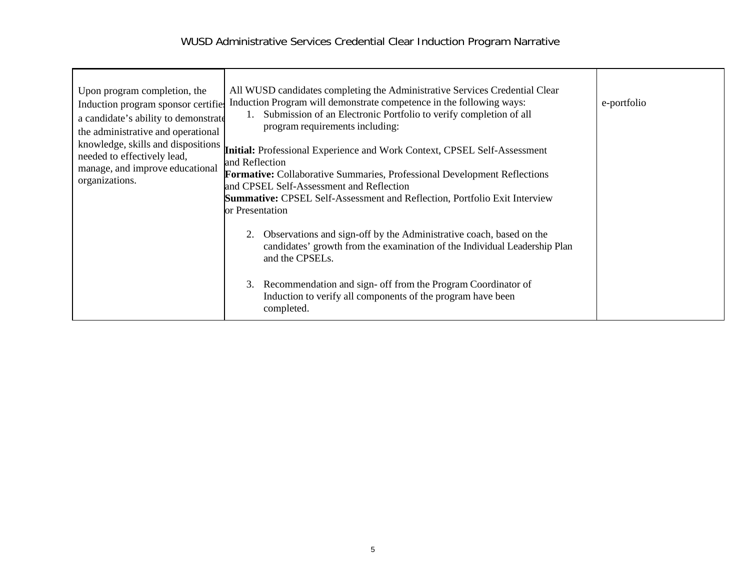| Upon program completion, the<br>Induction program sponsor certifies<br>a candidate's ability to demonstrate<br>the administrative and operational<br>knowledge, skills and dispositions<br>needed to effectively lead,<br>manage, and improve educational<br>organizations. | All WUSD candidates completing the Administrative Services Credential Clear<br>Induction Program will demonstrate competence in the following ways:<br>Submission of an Electronic Portfolio to verify completion of all<br>program requirements including:<br>Initial: Professional Experience and Work Context, CPSEL Self-Assessment<br>and Reflection<br><b>Formative:</b> Collaborative Summaries, Professional Development Reflections<br>and CPSEL Self-Assessment and Reflection<br><b>Summative:</b> CPSEL Self-Assessment and Reflection, Portfolio Exit Interview<br>or Presentation<br>Observations and sign-off by the Administrative coach, based on the<br>candidates' growth from the examination of the Individual Leadership Plan<br>and the CPSELs. | e-portfolio |
|-----------------------------------------------------------------------------------------------------------------------------------------------------------------------------------------------------------------------------------------------------------------------------|------------------------------------------------------------------------------------------------------------------------------------------------------------------------------------------------------------------------------------------------------------------------------------------------------------------------------------------------------------------------------------------------------------------------------------------------------------------------------------------------------------------------------------------------------------------------------------------------------------------------------------------------------------------------------------------------------------------------------------------------------------------------|-------------|
|                                                                                                                                                                                                                                                                             | 3. Recommendation and sign- off from the Program Coordinator of<br>Induction to verify all components of the program have been<br>completed.                                                                                                                                                                                                                                                                                                                                                                                                                                                                                                                                                                                                                           |             |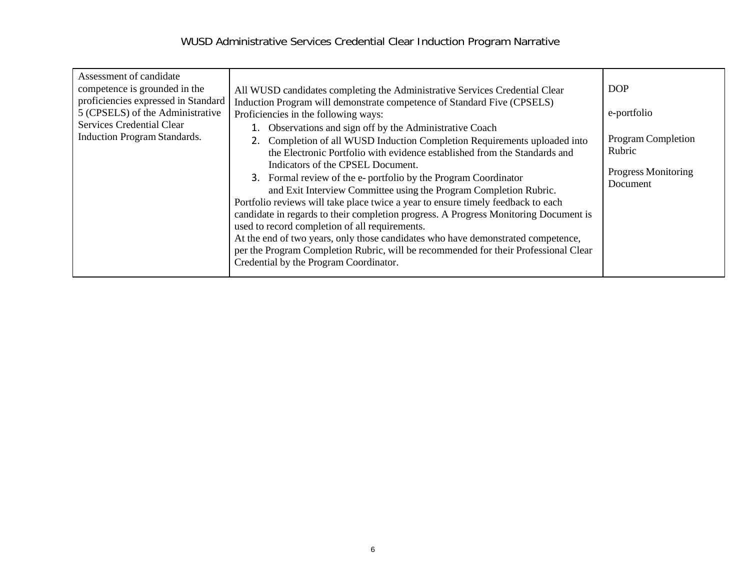| Assessment of candidate             |                                                                                      |                            |
|-------------------------------------|--------------------------------------------------------------------------------------|----------------------------|
| competence is grounded in the       | All WUSD candidates completing the Administrative Services Credential Clear          | <b>DOP</b>                 |
| proficiencies expressed in Standard | Induction Program will demonstrate competence of Standard Five (CPSELS)              |                            |
| 5 (CPSELS) of the Administrative    | Proficiencies in the following ways:                                                 | e-portfolio                |
| Services Credential Clear           | Observations and sign off by the Administrative Coach                                |                            |
| <b>Induction Program Standards.</b> | Completion of all WUSD Induction Completion Requirements uploaded into               | <b>Program Completion</b>  |
|                                     | the Electronic Portfolio with evidence established from the Standards and            | Rubric                     |
|                                     | Indicators of the CPSEL Document.                                                    |                            |
|                                     | 3. Formal review of the e-portfolio by the Program Coordinator                       | <b>Progress Monitoring</b> |
|                                     | and Exit Interview Committee using the Program Completion Rubric.                    | Document                   |
|                                     | Portfolio reviews will take place twice a year to ensure timely feedback to each     |                            |
|                                     | candidate in regards to their completion progress. A Progress Monitoring Document is |                            |
|                                     | used to record completion of all requirements.                                       |                            |
|                                     | At the end of two years, only those candidates who have demonstrated competence,     |                            |
|                                     | per the Program Completion Rubric, will be recommended for their Professional Clear  |                            |
|                                     | Credential by the Program Coordinator.                                               |                            |
|                                     |                                                                                      |                            |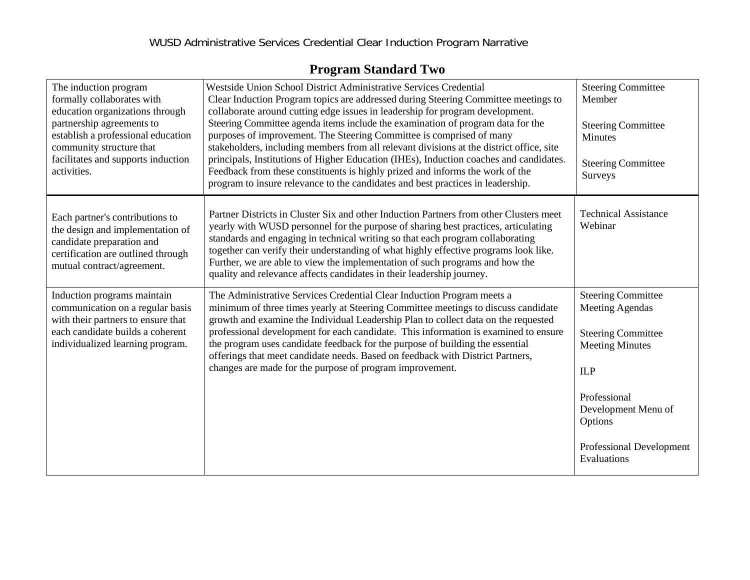| The induction program<br>formally collaborates with<br>education organizations through<br>partnership agreements to<br>establish a professional education<br>community structure that<br>facilitates and supports induction<br>activities. | Westside Union School District Administrative Services Credential<br>Clear Induction Program topics are addressed during Steering Committee meetings to<br>collaborate around cutting edge issues in leadership for program development.<br>Steering Committee agenda items include the examination of program data for the<br>purposes of improvement. The Steering Committee is comprised of many<br>stakeholders, including members from all relevant divisions at the district office, site<br>principals, Institutions of Higher Education (IHEs), Induction coaches and candidates.<br>Feedback from these constituents is highly prized and informs the work of the<br>program to insure relevance to the candidates and best practices in leadership. | <b>Steering Committee</b><br>Member<br><b>Steering Committee</b><br><b>Minutes</b><br><b>Steering Committee</b><br>Surveys                                                                                                   |
|--------------------------------------------------------------------------------------------------------------------------------------------------------------------------------------------------------------------------------------------|---------------------------------------------------------------------------------------------------------------------------------------------------------------------------------------------------------------------------------------------------------------------------------------------------------------------------------------------------------------------------------------------------------------------------------------------------------------------------------------------------------------------------------------------------------------------------------------------------------------------------------------------------------------------------------------------------------------------------------------------------------------|------------------------------------------------------------------------------------------------------------------------------------------------------------------------------------------------------------------------------|
| Each partner's contributions to<br>the design and implementation of<br>candidate preparation and<br>certification are outlined through<br>mutual contract/agreement.                                                                       | Partner Districts in Cluster Six and other Induction Partners from other Clusters meet<br>yearly with WUSD personnel for the purpose of sharing best practices, articulating<br>standards and engaging in technical writing so that each program collaborating<br>together can verify their understanding of what highly effective programs look like.<br>Further, we are able to view the implementation of such programs and how the<br>quality and relevance affects candidates in their leadership journey.                                                                                                                                                                                                                                               | <b>Technical Assistance</b><br>Webinar                                                                                                                                                                                       |
| Induction programs maintain<br>communication on a regular basis<br>with their partners to ensure that<br>each candidate builds a coherent<br>individualized learning program.                                                              | The Administrative Services Credential Clear Induction Program meets a<br>minimum of three times yearly at Steering Committee meetings to discuss candidate<br>growth and examine the Individual Leadership Plan to collect data on the requested<br>professional development for each candidate. This information is examined to ensure<br>the program uses candidate feedback for the purpose of building the essential<br>offerings that meet candidate needs. Based on feedback with District Partners,<br>changes are made for the purpose of program improvement.                                                                                                                                                                                       | <b>Steering Committee</b><br><b>Meeting Agendas</b><br><b>Steering Committee</b><br><b>Meeting Minutes</b><br><b>ILP</b><br>Professional<br>Development Menu of<br>Options<br><b>Professional Development</b><br>Evaluations |

### **Program Standard Two**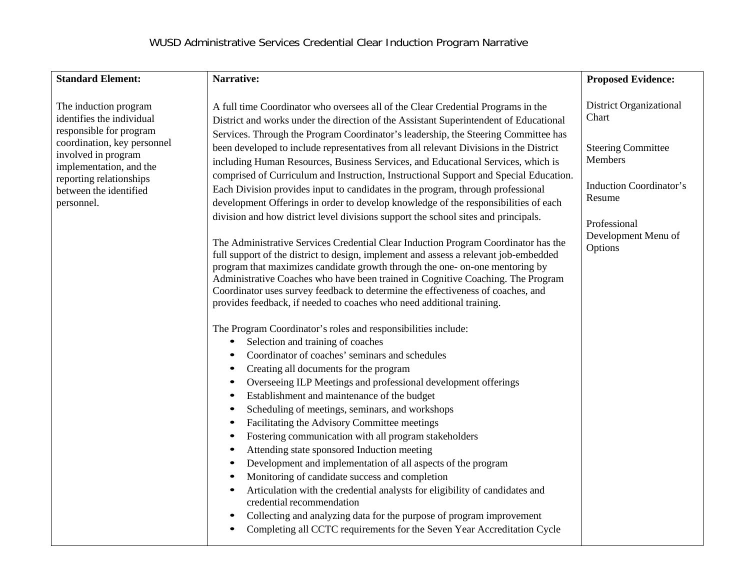| <b>Standard Element:</b>                                                      | Narrative:                                                                                                                                                                                                                                                                                                                                                                                                                                                                                                                                                                                                                                                                                                                                                                                                                                                                                                  | <b>Proposed Evidence:</b>                      |
|-------------------------------------------------------------------------------|-------------------------------------------------------------------------------------------------------------------------------------------------------------------------------------------------------------------------------------------------------------------------------------------------------------------------------------------------------------------------------------------------------------------------------------------------------------------------------------------------------------------------------------------------------------------------------------------------------------------------------------------------------------------------------------------------------------------------------------------------------------------------------------------------------------------------------------------------------------------------------------------------------------|------------------------------------------------|
| The induction program<br>identifies the individual<br>responsible for program | A full time Coordinator who oversees all of the Clear Credential Programs in the<br>District and works under the direction of the Assistant Superintendent of Educational<br>Services. Through the Program Coordinator's leadership, the Steering Committee has                                                                                                                                                                                                                                                                                                                                                                                                                                                                                                                                                                                                                                             | <b>District Organizational</b><br>Chart        |
| coordination, key personnel<br>involved in program<br>implementation, and the | been developed to include representatives from all relevant Divisions in the District<br>including Human Resources, Business Services, and Educational Services, which is                                                                                                                                                                                                                                                                                                                                                                                                                                                                                                                                                                                                                                                                                                                                   | <b>Steering Committee</b><br>Members           |
| reporting relationships<br>between the identified<br>personnel.               | comprised of Curriculum and Instruction, Instructional Support and Special Education.<br>Each Division provides input to candidates in the program, through professional<br>development Offerings in order to develop knowledge of the responsibilities of each                                                                                                                                                                                                                                                                                                                                                                                                                                                                                                                                                                                                                                             | <b>Induction Coordinator's</b><br>Resume       |
|                                                                               | division and how district level divisions support the school sites and principals.<br>The Administrative Services Credential Clear Induction Program Coordinator has the<br>full support of the district to design, implement and assess a relevant job-embedded<br>program that maximizes candidate growth through the one- on-one mentoring by<br>Administrative Coaches who have been trained in Cognitive Coaching. The Program<br>Coordinator uses survey feedback to determine the effectiveness of coaches, and<br>provides feedback, if needed to coaches who need additional training.                                                                                                                                                                                                                                                                                                             | Professional<br>Development Menu of<br>Options |
|                                                                               | The Program Coordinator's roles and responsibilities include:<br>Selection and training of coaches<br>Coordinator of coaches' seminars and schedules<br>Creating all documents for the program<br>Overseeing ILP Meetings and professional development offerings<br>Establishment and maintenance of the budget<br>Scheduling of meetings, seminars, and workshops<br>Facilitating the Advisory Committee meetings<br>Fostering communication with all program stakeholders<br>Attending state sponsored Induction meeting<br>Development and implementation of all aspects of the program<br>Monitoring of candidate success and completion<br>Articulation with the credential analysts for eligibility of candidates and<br>credential recommendation<br>Collecting and analyzing data for the purpose of program improvement<br>Completing all CCTC requirements for the Seven Year Accreditation Cycle |                                                |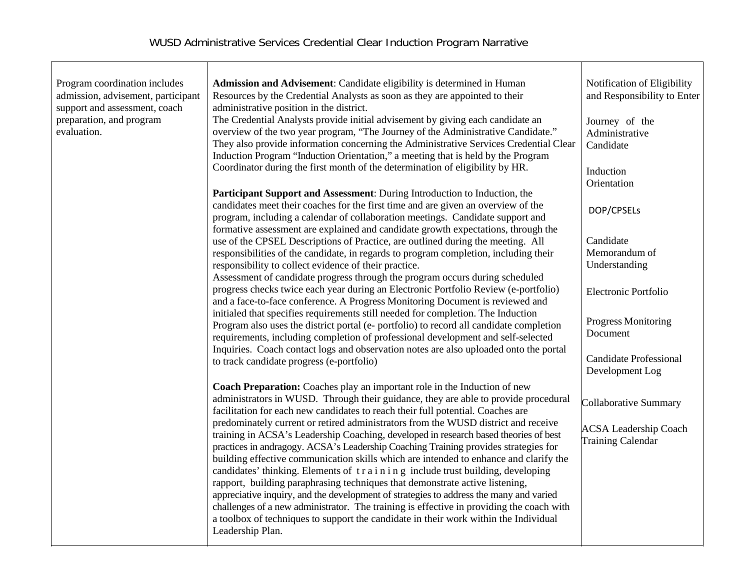┯

┯

 $\Gamma$ 

| Program coordination includes<br>admission, advisement, participant<br>support and assessment, coach<br>preparation, and program<br>evaluation. | Admission and Advisement: Candidate eligibility is determined in Human<br>Resources by the Credential Analysts as soon as they are appointed to their<br>administrative position in the district.<br>The Credential Analysts provide initial advisement by giving each candidate an<br>overview of the two year program, "The Journey of the Administrative Candidate."<br>They also provide information concerning the Administrative Services Credential Clear<br>Induction Program "Induction Orientation," a meeting that is held by the Program<br>Coordinator during the first month of the determination of eligibility by HR.                                                                                                                                                                                         | Notification of Eligibility<br>and Responsibility to Enter<br>Journey of the<br>Administrative<br>Candidate<br>Induction<br>Orientation |
|-------------------------------------------------------------------------------------------------------------------------------------------------|-------------------------------------------------------------------------------------------------------------------------------------------------------------------------------------------------------------------------------------------------------------------------------------------------------------------------------------------------------------------------------------------------------------------------------------------------------------------------------------------------------------------------------------------------------------------------------------------------------------------------------------------------------------------------------------------------------------------------------------------------------------------------------------------------------------------------------|-----------------------------------------------------------------------------------------------------------------------------------------|
|                                                                                                                                                 | Participant Support and Assessment: During Introduction to Induction, the<br>candidates meet their coaches for the first time and are given an overview of the<br>program, including a calendar of collaboration meetings. Candidate support and<br>formative assessment are explained and candidate growth expectations, through the                                                                                                                                                                                                                                                                                                                                                                                                                                                                                         | DOP/CPSELs                                                                                                                              |
|                                                                                                                                                 | use of the CPSEL Descriptions of Practice, are outlined during the meeting. All<br>responsibilities of the candidate, in regards to program completion, including their<br>responsibility to collect evidence of their practice.<br>Assessment of candidate progress through the program occurs during scheduled                                                                                                                                                                                                                                                                                                                                                                                                                                                                                                              | Candidate<br>Memorandum of<br>Understanding                                                                                             |
|                                                                                                                                                 | progress checks twice each year during an Electronic Portfolio Review (e-portfolio)<br>and a face-to-face conference. A Progress Monitoring Document is reviewed and                                                                                                                                                                                                                                                                                                                                                                                                                                                                                                                                                                                                                                                          | Electronic Portfolio                                                                                                                    |
|                                                                                                                                                 | initialed that specifies requirements still needed for completion. The Induction<br>Program also uses the district portal (e- portfolio) to record all candidate completion<br>requirements, including completion of professional development and self-selected                                                                                                                                                                                                                                                                                                                                                                                                                                                                                                                                                               | <b>Progress Monitoring</b><br>Document                                                                                                  |
|                                                                                                                                                 | Inquiries. Coach contact logs and observation notes are also uploaded onto the portal<br>to track candidate progress (e-portfolio)                                                                                                                                                                                                                                                                                                                                                                                                                                                                                                                                                                                                                                                                                            | <b>Candidate Professional</b><br>Development Log                                                                                        |
|                                                                                                                                                 | Coach Preparation: Coaches play an important role in the Induction of new<br>administrators in WUSD. Through their guidance, they are able to provide procedural<br>facilitation for each new candidates to reach their full potential. Coaches are                                                                                                                                                                                                                                                                                                                                                                                                                                                                                                                                                                           | <b>Collaborative Summary</b>                                                                                                            |
|                                                                                                                                                 | predominately current or retired administrators from the WUSD district and receive<br>training in ACSA's Leadership Coaching, developed in research based theories of best<br>practices in andragogy. ACSA's Leadership Coaching Training provides strategies for<br>building effective communication skills which are intended to enhance and clarify the<br>candidates' thinking. Elements of training include trust building, developing<br>rapport, building paraphrasing techniques that demonstrate active listening,<br>appreciative inquiry, and the development of strategies to address the many and varied<br>challenges of a new administrator. The training is effective in providing the coach with<br>a toolbox of techniques to support the candidate in their work within the Individual<br>Leadership Plan. | <b>ACSA Leadership Coach</b><br><b>Training Calendar</b>                                                                                |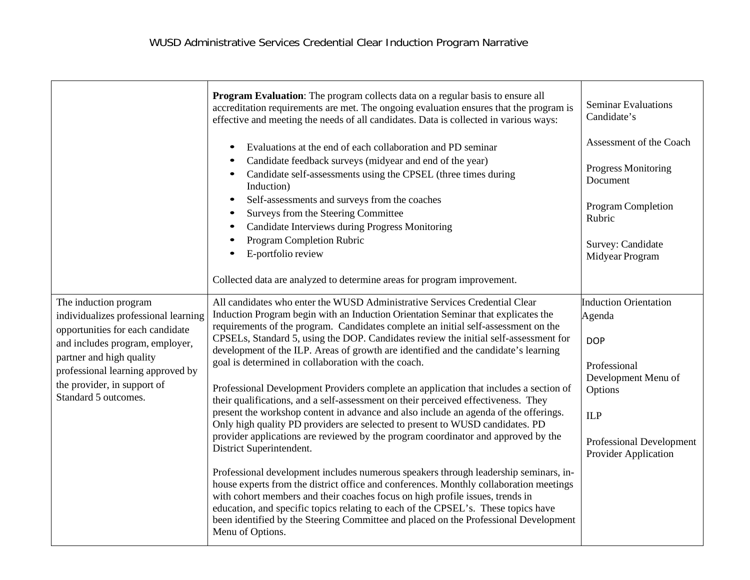|                                                                                                                                                                                                                                                              | <b>Program Evaluation:</b> The program collects data on a regular basis to ensure all<br>accreditation requirements are met. The ongoing evaluation ensures that the program is<br>effective and meeting the needs of all candidates. Data is collected in various ways:                                                                                                                                                                                                                                                                                                                                                                                                                                                                                                                                                                                                                                                                                                                                                                                                                                                                                                                                                                                                                                                                                                                                                                 | <b>Seminar Evaluations</b><br>Candidate's                                                                                                                                       |
|--------------------------------------------------------------------------------------------------------------------------------------------------------------------------------------------------------------------------------------------------------------|------------------------------------------------------------------------------------------------------------------------------------------------------------------------------------------------------------------------------------------------------------------------------------------------------------------------------------------------------------------------------------------------------------------------------------------------------------------------------------------------------------------------------------------------------------------------------------------------------------------------------------------------------------------------------------------------------------------------------------------------------------------------------------------------------------------------------------------------------------------------------------------------------------------------------------------------------------------------------------------------------------------------------------------------------------------------------------------------------------------------------------------------------------------------------------------------------------------------------------------------------------------------------------------------------------------------------------------------------------------------------------------------------------------------------------------|---------------------------------------------------------------------------------------------------------------------------------------------------------------------------------|
|                                                                                                                                                                                                                                                              | Evaluations at the end of each collaboration and PD seminar<br>$\bullet$                                                                                                                                                                                                                                                                                                                                                                                                                                                                                                                                                                                                                                                                                                                                                                                                                                                                                                                                                                                                                                                                                                                                                                                                                                                                                                                                                                 | Assessment of the Coach                                                                                                                                                         |
|                                                                                                                                                                                                                                                              | Candidate feedback surveys (midyear and end of the year)<br>Candidate self-assessments using the CPSEL (three times during<br>Induction)                                                                                                                                                                                                                                                                                                                                                                                                                                                                                                                                                                                                                                                                                                                                                                                                                                                                                                                                                                                                                                                                                                                                                                                                                                                                                                 | Progress Monitoring<br>Document                                                                                                                                                 |
|                                                                                                                                                                                                                                                              | Self-assessments and surveys from the coaches<br>Surveys from the Steering Committee<br>Candidate Interviews during Progress Monitoring                                                                                                                                                                                                                                                                                                                                                                                                                                                                                                                                                                                                                                                                                                                                                                                                                                                                                                                                                                                                                                                                                                                                                                                                                                                                                                  | Program Completion<br>Rubric                                                                                                                                                    |
|                                                                                                                                                                                                                                                              | Program Completion Rubric<br>E-portfolio review                                                                                                                                                                                                                                                                                                                                                                                                                                                                                                                                                                                                                                                                                                                                                                                                                                                                                                                                                                                                                                                                                                                                                                                                                                                                                                                                                                                          | Survey: Candidate<br>Midyear Program                                                                                                                                            |
|                                                                                                                                                                                                                                                              | Collected data are analyzed to determine areas for program improvement.                                                                                                                                                                                                                                                                                                                                                                                                                                                                                                                                                                                                                                                                                                                                                                                                                                                                                                                                                                                                                                                                                                                                                                                                                                                                                                                                                                  |                                                                                                                                                                                 |
| The induction program<br>individualizes professional learning<br>opportunities for each candidate<br>and includes program, employer,<br>partner and high quality<br>professional learning approved by<br>the provider, in support of<br>Standard 5 outcomes. | All candidates who enter the WUSD Administrative Services Credential Clear<br>Induction Program begin with an Induction Orientation Seminar that explicates the<br>requirements of the program. Candidates complete an initial self-assessment on the<br>CPSELs, Standard 5, using the DOP. Candidates review the initial self-assessment for<br>development of the ILP. Areas of growth are identified and the candidate's learning<br>goal is determined in collaboration with the coach.<br>Professional Development Providers complete an application that includes a section of<br>their qualifications, and a self-assessment on their perceived effectiveness. They<br>present the workshop content in advance and also include an agenda of the offerings.<br>Only high quality PD providers are selected to present to WUSD candidates. PD<br>provider applications are reviewed by the program coordinator and approved by the<br>District Superintendent.<br>Professional development includes numerous speakers through leadership seminars, in-<br>house experts from the district office and conferences. Monthly collaboration meetings<br>with cohort members and their coaches focus on high profile issues, trends in<br>education, and specific topics relating to each of the CPSEL's. These topics have<br>been identified by the Steering Committee and placed on the Professional Development<br>Menu of Options. | <b>Induction Orientation</b><br>Agenda<br><b>DOP</b><br>Professional<br>Development Menu of<br>Options<br><b>ILP</b><br><b>Professional Development</b><br>Provider Application |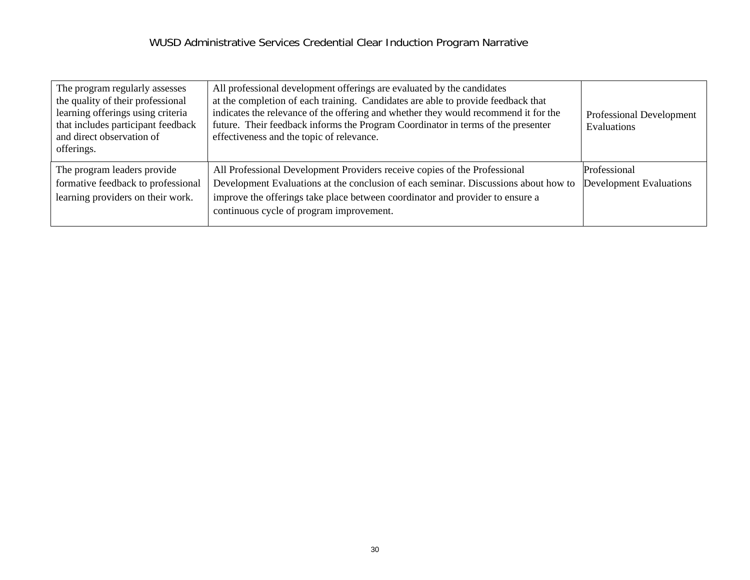| The program regularly assesses<br>the quality of their professional<br>learning offerings using criteria<br>that includes participant feedback<br>and direct observation of<br>offerings. | All professional development offerings are evaluated by the candidates<br>at the completion of each training. Candidates are able to provide feedback that<br>indicates the relevance of the offering and whether they would recommend it for the<br>future. Their feedback informs the Program Coordinator in terms of the presenter<br>effectiveness and the topic of relevance. | Professional Development<br>Evaluations |
|-------------------------------------------------------------------------------------------------------------------------------------------------------------------------------------------|------------------------------------------------------------------------------------------------------------------------------------------------------------------------------------------------------------------------------------------------------------------------------------------------------------------------------------------------------------------------------------|-----------------------------------------|
| The program leaders provide                                                                                                                                                               | All Professional Development Providers receive copies of the Professional                                                                                                                                                                                                                                                                                                          | Professional                            |
| formative feedback to professional                                                                                                                                                        | Development Evaluations at the conclusion of each seminar. Discussions about how to                                                                                                                                                                                                                                                                                                | <b>Development Evaluations</b>          |
| learning providers on their work.                                                                                                                                                         | improve the offerings take place between coordinator and provider to ensure a                                                                                                                                                                                                                                                                                                      |                                         |
|                                                                                                                                                                                           | continuous cycle of program improvement.                                                                                                                                                                                                                                                                                                                                           |                                         |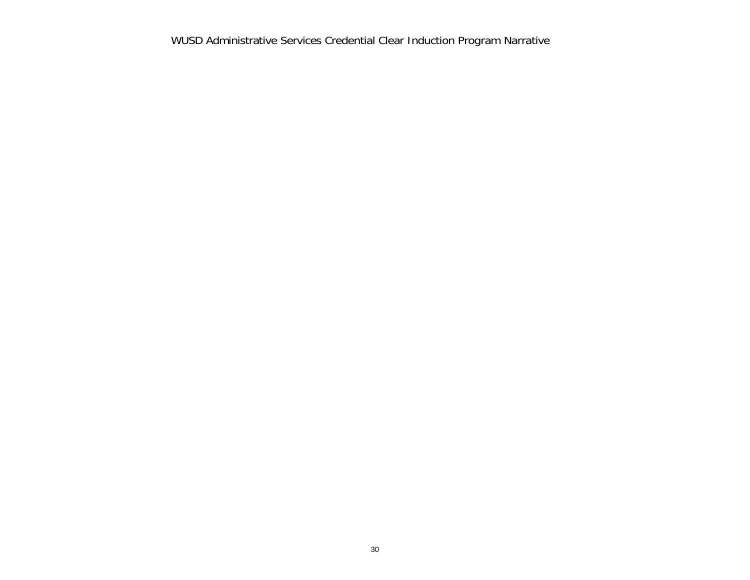WUSD Administrative Services Credential Clear Induction Program Narrative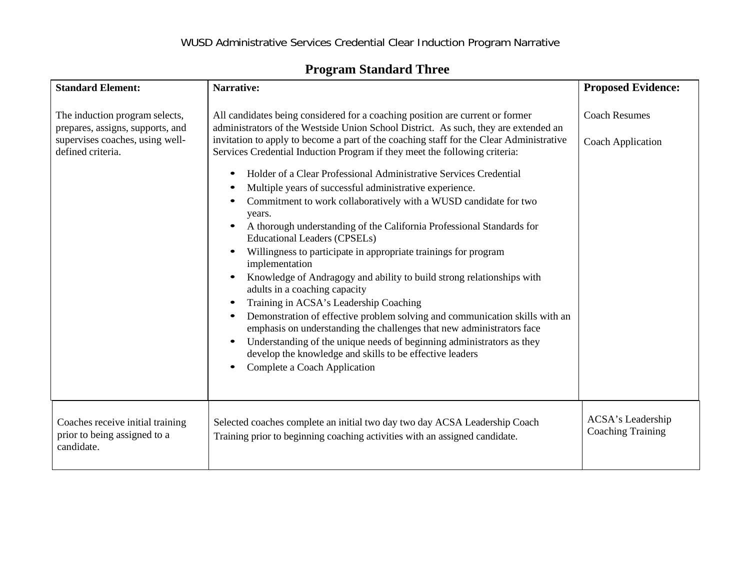| <b>Standard Element:</b>                                                                                                   | Narrative:                                                                                                                                                                                                                                                                                                                                                                                                                                                                                                                                                                                                                                                                                                                                                                                                                                                                                                                                                                                                                                                                                                                                                                                                                                        | <b>Proposed Evidence:</b>                        |
|----------------------------------------------------------------------------------------------------------------------------|---------------------------------------------------------------------------------------------------------------------------------------------------------------------------------------------------------------------------------------------------------------------------------------------------------------------------------------------------------------------------------------------------------------------------------------------------------------------------------------------------------------------------------------------------------------------------------------------------------------------------------------------------------------------------------------------------------------------------------------------------------------------------------------------------------------------------------------------------------------------------------------------------------------------------------------------------------------------------------------------------------------------------------------------------------------------------------------------------------------------------------------------------------------------------------------------------------------------------------------------------|--------------------------------------------------|
| The induction program selects,<br>prepares, assigns, supports, and<br>supervises coaches, using well-<br>defined criteria. | All candidates being considered for a coaching position are current or former<br>administrators of the Westside Union School District. As such, they are extended an<br>invitation to apply to become a part of the coaching staff for the Clear Administrative<br>Services Credential Induction Program if they meet the following criteria:<br>Holder of a Clear Professional Administrative Services Credential<br>Multiple years of successful administrative experience.<br>Commitment to work collaboratively with a WUSD candidate for two<br>years.<br>A thorough understanding of the California Professional Standards for<br><b>Educational Leaders (CPSELs)</b><br>Willingness to participate in appropriate trainings for program<br>implementation<br>Knowledge of Andragogy and ability to build strong relationships with<br>adults in a coaching capacity<br>Training in ACSA's Leadership Coaching<br>Demonstration of effective problem solving and communication skills with an<br>emphasis on understanding the challenges that new administrators face<br>Understanding of the unique needs of beginning administrators as they<br>develop the knowledge and skills to be effective leaders<br>Complete a Coach Application | <b>Coach Resumes</b><br><b>Coach Application</b> |
| Coaches receive initial training<br>prior to being assigned to a<br>candidate.                                             | Selected coaches complete an initial two day two day ACSA Leadership Coach<br>Training prior to beginning coaching activities with an assigned candidate.                                                                                                                                                                                                                                                                                                                                                                                                                                                                                                                                                                                                                                                                                                                                                                                                                                                                                                                                                                                                                                                                                         | ACSA's Leadership<br><b>Coaching Training</b>    |

### **Program Standard Three**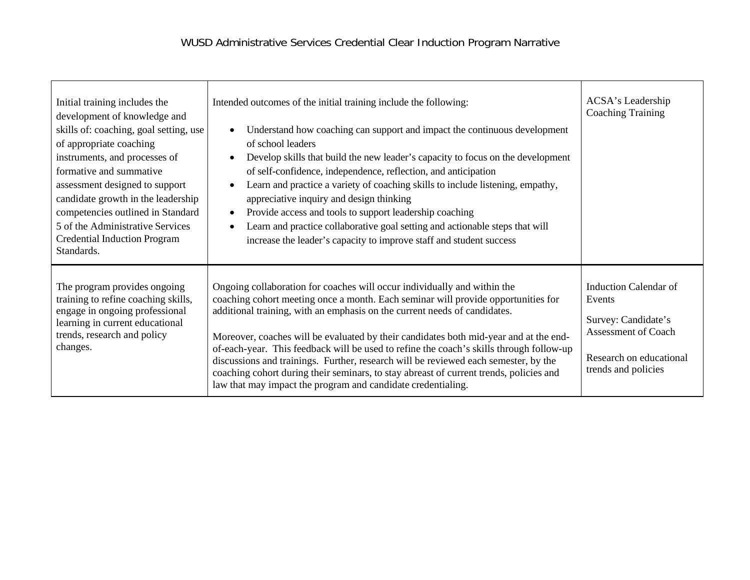| Initial training includes the<br>development of knowledge and<br>skills of: coaching, goal setting, use<br>of appropriate coaching<br>instruments, and processes of<br>formative and summative<br>assessment designed to support<br>candidate growth in the leadership<br>competencies outlined in Standard<br>5 of the Administrative Services<br><b>Credential Induction Program</b><br>Standards. | Intended outcomes of the initial training include the following:<br>Understand how coaching can support and impact the continuous development<br>of school leaders<br>Develop skills that build the new leader's capacity to focus on the development<br>of self-confidence, independence, reflection, and anticipation<br>Learn and practice a variety of coaching skills to include listening, empathy,<br>appreciative inquiry and design thinking<br>Provide access and tools to support leadership coaching<br>$\bullet$<br>Learn and practice collaborative goal setting and actionable steps that will<br>increase the leader's capacity to improve staff and student success | ACSA's Leadership<br><b>Coaching Training</b>                                                                                          |
|------------------------------------------------------------------------------------------------------------------------------------------------------------------------------------------------------------------------------------------------------------------------------------------------------------------------------------------------------------------------------------------------------|--------------------------------------------------------------------------------------------------------------------------------------------------------------------------------------------------------------------------------------------------------------------------------------------------------------------------------------------------------------------------------------------------------------------------------------------------------------------------------------------------------------------------------------------------------------------------------------------------------------------------------------------------------------------------------------|----------------------------------------------------------------------------------------------------------------------------------------|
| The program provides ongoing<br>training to refine coaching skills,<br>engage in ongoing professional<br>learning in current educational<br>trends, research and policy<br>changes.                                                                                                                                                                                                                  | Ongoing collaboration for coaches will occur individually and within the<br>coaching cohort meeting once a month. Each seminar will provide opportunities for<br>additional training, with an emphasis on the current needs of candidates.<br>Moreover, coaches will be evaluated by their candidates both mid-year and at the end-<br>of-each-year. This feedback will be used to refine the coach's skills through follow-up<br>discussions and trainings. Further, research will be reviewed each semester, by the<br>coaching cohort during their seminars, to stay abreast of current trends, policies and<br>law that may impact the program and candidate credentialing.      | Induction Calendar of<br>Events<br>Survey: Candidate's<br><b>Assessment of Coach</b><br>Research on educational<br>trends and policies |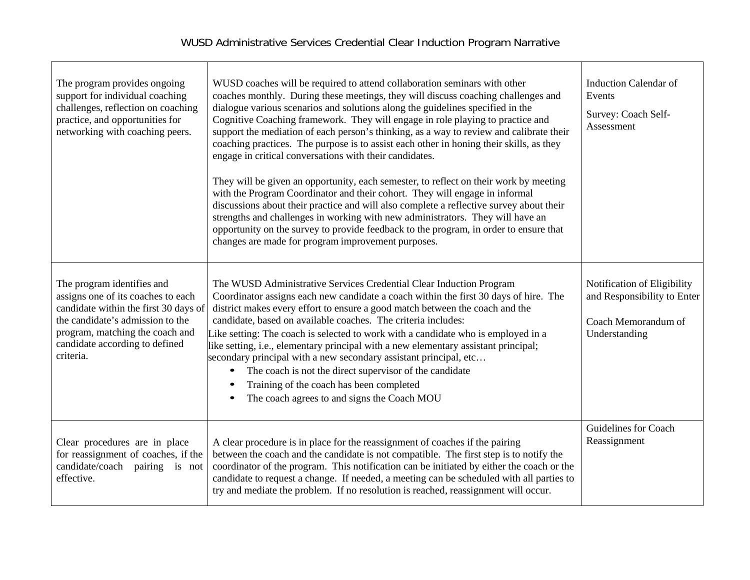$\Gamma$ 

| The program provides ongoing<br>support for individual coaching<br>challenges, reflection on coaching<br>practice, and opportunities for<br>networking with coaching peers.                                                     | WUSD coaches will be required to attend collaboration seminars with other<br>coaches monthly. During these meetings, they will discuss coaching challenges and<br>dialogue various scenarios and solutions along the guidelines specified in the<br>Cognitive Coaching framework. They will engage in role playing to practice and<br>support the mediation of each person's thinking, as a way to review and calibrate their<br>coaching practices. The purpose is to assist each other in honing their skills, as they<br>engage in critical conversations with their candidates.<br>They will be given an opportunity, each semester, to reflect on their work by meeting<br>with the Program Coordinator and their cohort. They will engage in informal<br>discussions about their practice and will also complete a reflective survey about their<br>strengths and challenges in working with new administrators. They will have an<br>opportunity on the survey to provide feedback to the program, in order to ensure that<br>changes are made for program improvement purposes. | <b>Induction Calendar of</b><br>Events<br>Survey: Coach Self-<br>Assessment                        |
|---------------------------------------------------------------------------------------------------------------------------------------------------------------------------------------------------------------------------------|-----------------------------------------------------------------------------------------------------------------------------------------------------------------------------------------------------------------------------------------------------------------------------------------------------------------------------------------------------------------------------------------------------------------------------------------------------------------------------------------------------------------------------------------------------------------------------------------------------------------------------------------------------------------------------------------------------------------------------------------------------------------------------------------------------------------------------------------------------------------------------------------------------------------------------------------------------------------------------------------------------------------------------------------------------------------------------------------|----------------------------------------------------------------------------------------------------|
| The program identifies and<br>assigns one of its coaches to each<br>candidate within the first 30 days of<br>the candidate's admission to the<br>program, matching the coach and<br>candidate according to defined<br>criteria. | The WUSD Administrative Services Credential Clear Induction Program<br>Coordinator assigns each new candidate a coach within the first 30 days of hire. The<br>district makes every effort to ensure a good match between the coach and the<br>candidate, based on available coaches. The criteria includes:<br>Like setting: The coach is selected to work with a candidate who is employed in a<br>like setting, i.e., elementary principal with a new elementary assistant principal;<br>secondary principal with a new secondary assistant principal, etc<br>The coach is not the direct supervisor of the candidate<br>$\bullet$<br>Training of the coach has been completed<br>The coach agrees to and signs the Coach MOU                                                                                                                                                                                                                                                                                                                                                        | Notification of Eligibility<br>and Responsibility to Enter<br>Coach Memorandum of<br>Understanding |
| Clear procedures are in place<br>for reassignment of coaches, if the<br>candidate/coach pairing is not<br>effective.                                                                                                            | A clear procedure is in place for the reassignment of coaches if the pairing<br>between the coach and the candidate is not compatible. The first step is to notify the<br>coordinator of the program. This notification can be initiated by either the coach or the<br>candidate to request a change. If needed, a meeting can be scheduled with all parties to<br>try and mediate the problem. If no resolution is reached, reassignment will occur.                                                                                                                                                                                                                                                                                                                                                                                                                                                                                                                                                                                                                                   | Guidelines for Coach<br>Reassignment                                                               |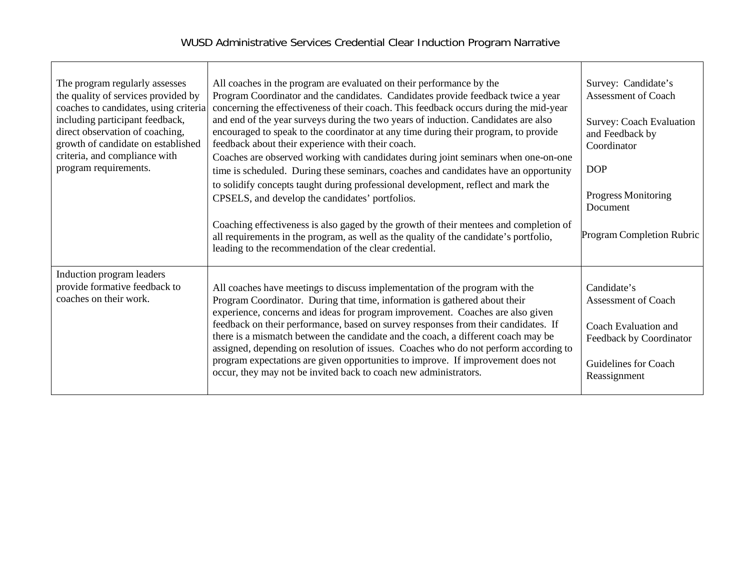$\Gamma$ 

| The program regularly assesses<br>the quality of services provided by<br>coaches to candidates, using criteria<br>including participant feedback,<br>direct observation of coaching,<br>growth of candidate on established<br>criteria, and compliance with<br>program requirements. | All coaches in the program are evaluated on their performance by the<br>Program Coordinator and the candidates. Candidates provide feedback twice a year<br>concerning the effectiveness of their coach. This feedback occurs during the mid-year<br>and end of the year surveys during the two years of induction. Candidates are also<br>encouraged to speak to the coordinator at any time during their program, to provide<br>feedback about their experience with their coach.<br>Coaches are observed working with candidates during joint seminars when one-on-one<br>time is scheduled. During these seminars, coaches and candidates have an opportunity<br>to solidify concepts taught during professional development, reflect and mark the<br>CPSELS, and develop the candidates' portfolios.<br>Coaching effectiveness is also gaged by the growth of their mentees and completion of<br>all requirements in the program, as well as the quality of the candidate's portfolio,<br>leading to the recommendation of the clear credential. | Survey: Candidate's<br><b>Assessment of Coach</b><br><b>Survey: Coach Evaluation</b><br>and Feedback by<br>Coordinator<br><b>DOP</b><br><b>Progress Monitoring</b><br>Document<br>Program Completion Rubric |
|--------------------------------------------------------------------------------------------------------------------------------------------------------------------------------------------------------------------------------------------------------------------------------------|-------------------------------------------------------------------------------------------------------------------------------------------------------------------------------------------------------------------------------------------------------------------------------------------------------------------------------------------------------------------------------------------------------------------------------------------------------------------------------------------------------------------------------------------------------------------------------------------------------------------------------------------------------------------------------------------------------------------------------------------------------------------------------------------------------------------------------------------------------------------------------------------------------------------------------------------------------------------------------------------------------------------------------------------------------|-------------------------------------------------------------------------------------------------------------------------------------------------------------------------------------------------------------|
| Induction program leaders<br>provide formative feedback to<br>coaches on their work.                                                                                                                                                                                                 | All coaches have meetings to discuss implementation of the program with the<br>Program Coordinator. During that time, information is gathered about their<br>experience, concerns and ideas for program improvement. Coaches are also given<br>feedback on their performance, based on survey responses from their candidates. If<br>there is a mismatch between the candidate and the coach, a different coach may be<br>assigned, depending on resolution of issues. Coaches who do not perform according to<br>program expectations are given opportunities to improve. If improvement does not<br>occur, they may not be invited back to coach new administrators.                                                                                                                                                                                                                                                                                                                                                                                | Candidate's<br><b>Assessment of Coach</b><br>Coach Evaluation and<br>Feedback by Coordinator<br>Guidelines for Coach<br>Reassignment                                                                        |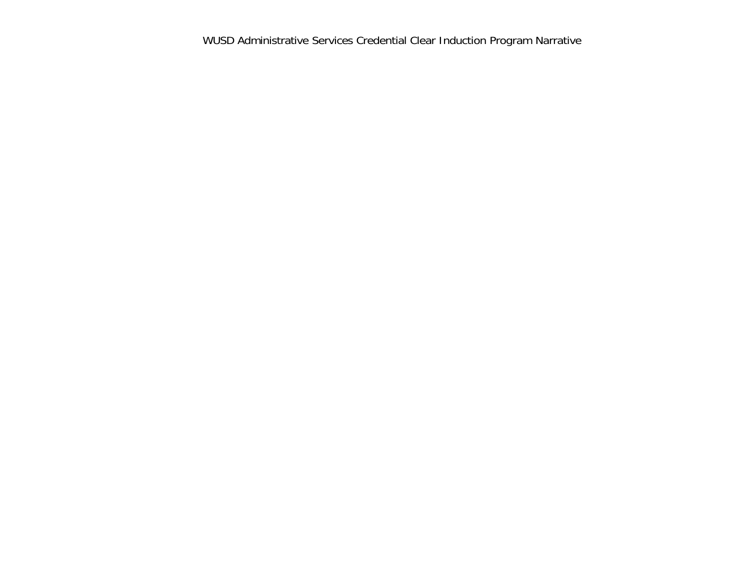WUSD Administrative Services Credential Clear Induction Program Narrative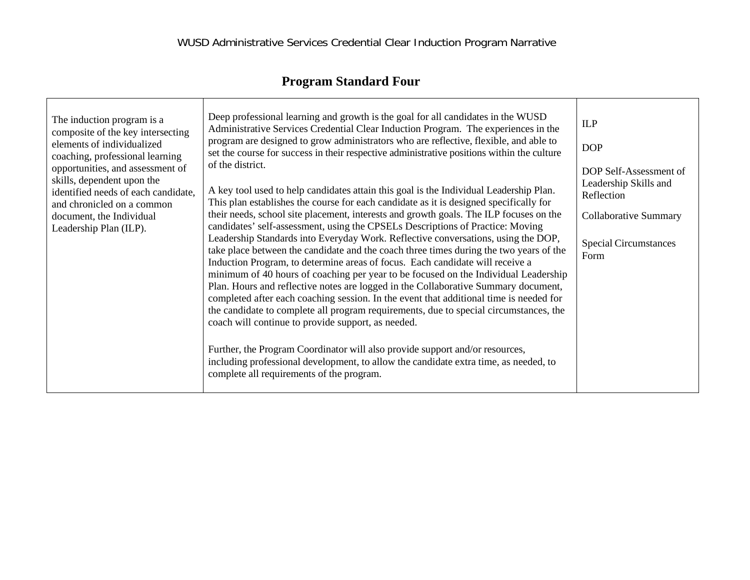| TT021 ani dianuaru four                                                                                                                                                                                                                                                                                                       |                                                                                                                                                                                                                                                                                                                                                                                                                                                                                                                                                                                                                                                                                                                                                                                                                                                                                                                                                                                                                                                                                                                                                                                                                                                                                                                                                                                                                                                                                                                                                                                                                                                              |                                                                                                                                                                   |  |
|-------------------------------------------------------------------------------------------------------------------------------------------------------------------------------------------------------------------------------------------------------------------------------------------------------------------------------|--------------------------------------------------------------------------------------------------------------------------------------------------------------------------------------------------------------------------------------------------------------------------------------------------------------------------------------------------------------------------------------------------------------------------------------------------------------------------------------------------------------------------------------------------------------------------------------------------------------------------------------------------------------------------------------------------------------------------------------------------------------------------------------------------------------------------------------------------------------------------------------------------------------------------------------------------------------------------------------------------------------------------------------------------------------------------------------------------------------------------------------------------------------------------------------------------------------------------------------------------------------------------------------------------------------------------------------------------------------------------------------------------------------------------------------------------------------------------------------------------------------------------------------------------------------------------------------------------------------------------------------------------------------|-------------------------------------------------------------------------------------------------------------------------------------------------------------------|--|
| The induction program is a<br>composite of the key intersecting<br>elements of individualized<br>coaching, professional learning<br>opportunities, and assessment of<br>skills, dependent upon the<br>identified needs of each candidate,<br>and chronicled on a common<br>document, the Individual<br>Leadership Plan (ILP). | Deep professional learning and growth is the goal for all candidates in the WUSD<br>Administrative Services Credential Clear Induction Program. The experiences in the<br>program are designed to grow administrators who are reflective, flexible, and able to<br>set the course for success in their respective administrative positions within the culture<br>of the district.<br>A key tool used to help candidates attain this goal is the Individual Leadership Plan.<br>This plan establishes the course for each candidate as it is designed specifically for<br>their needs, school site placement, interests and growth goals. The ILP focuses on the<br>candidates' self-assessment, using the CPSELs Descriptions of Practice: Moving<br>Leadership Standards into Everyday Work. Reflective conversations, using the DOP,<br>take place between the candidate and the coach three times during the two years of the<br>Induction Program, to determine areas of focus. Each candidate will receive a<br>minimum of 40 hours of coaching per year to be focused on the Individual Leadership<br>Plan. Hours and reflective notes are logged in the Collaborative Summary document,<br>completed after each coaching session. In the event that additional time is needed for<br>the candidate to complete all program requirements, due to special circumstances, the<br>coach will continue to provide support, as needed.<br>Further, the Program Coordinator will also provide support and/or resources,<br>including professional development, to allow the candidate extra time, as needed, to<br>complete all requirements of the program. | <b>ILP</b><br><b>DOP</b><br>DOP Self-Assessment of<br>Leadership Skills and<br>Reflection<br><b>Collaborative Summary</b><br><b>Special Circumstances</b><br>Form |  |
|                                                                                                                                                                                                                                                                                                                               |                                                                                                                                                                                                                                                                                                                                                                                                                                                                                                                                                                                                                                                                                                                                                                                                                                                                                                                                                                                                                                                                                                                                                                                                                                                                                                                                                                                                                                                                                                                                                                                                                                                              |                                                                                                                                                                   |  |

### **Program Standard Four**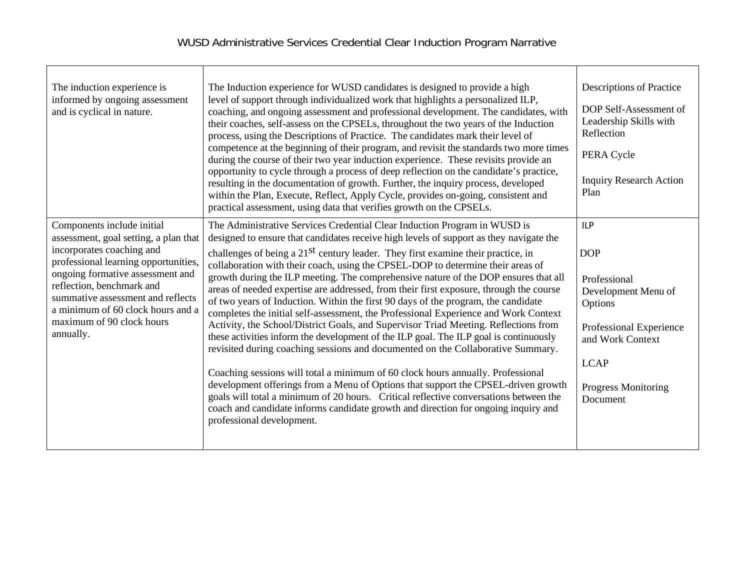| The induction experience is<br>informed by ongoing assessment<br>and is cyclical in nature.                                                                                                                                                                                                                                   | The Induction experience for WUSD candidates is designed to provide a high<br>level of support through individualized work that highlights a personalized ILP,<br>coaching, and ongoing assessment and professional development. The candidates, with<br>their coaches, self-assess on the CPSELs, throughout the two years of the Induction<br>process, using the Descriptions of Practice. The candidates mark their level of<br>competence at the beginning of their program, and revisit the standards two more times<br>during the course of their two year induction experience. These revisits provide an<br>opportunity to cycle through a process of deep reflection on the candidate's practice,<br>resulting in the documentation of growth. Further, the inquiry process, developed<br>within the Plan, Execute, Reflect, Apply Cycle, provides on-going, consistent and<br>practical assessment, using data that verifies growth on the CPSELs.                                                                                                                                                                                                                                                                                                                                                                                                               | <b>Descriptions of Practice</b><br>DOP Self-Assessment of<br>Leadership Skills with<br>Reflection<br>PERA Cycle<br><b>Inquiry Research Action</b><br>Plan                          |
|-------------------------------------------------------------------------------------------------------------------------------------------------------------------------------------------------------------------------------------------------------------------------------------------------------------------------------|----------------------------------------------------------------------------------------------------------------------------------------------------------------------------------------------------------------------------------------------------------------------------------------------------------------------------------------------------------------------------------------------------------------------------------------------------------------------------------------------------------------------------------------------------------------------------------------------------------------------------------------------------------------------------------------------------------------------------------------------------------------------------------------------------------------------------------------------------------------------------------------------------------------------------------------------------------------------------------------------------------------------------------------------------------------------------------------------------------------------------------------------------------------------------------------------------------------------------------------------------------------------------------------------------------------------------------------------------------------------------|------------------------------------------------------------------------------------------------------------------------------------------------------------------------------------|
| Components include initial<br>assessment, goal setting, a plan that<br>incorporates coaching and<br>professional learning opportunities,<br>ongoing formative assessment and<br>reflection, benchmark and<br>summative assessment and reflects<br>a minimum of 60 clock hours and a<br>maximum of 90 clock hours<br>annually. | The Administrative Services Credential Clear Induction Program in WUSD is<br>designed to ensure that candidates receive high levels of support as they navigate the<br>challenges of being a 21 <sup>st</sup> century leader. They first examine their practice, in<br>collaboration with their coach, using the CPSEL-DOP to determine their areas of<br>growth during the ILP meeting. The comprehensive nature of the DOP ensures that all<br>areas of needed expertise are addressed, from their first exposure, through the course<br>of two years of Induction. Within the first 90 days of the program, the candidate<br>completes the initial self-assessment, the Professional Experience and Work Context<br>Activity, the School/District Goals, and Supervisor Triad Meeting. Reflections from<br>these activities inform the development of the ILP goal. The ILP goal is continuously<br>revisited during coaching sessions and documented on the Collaborative Summary.<br>Coaching sessions will total a minimum of 60 clock hours annually. Professional<br>development offerings from a Menu of Options that support the CPSEL-driven growth<br>goals will total a minimum of 20 hours. Critical reflective conversations between the<br>coach and candidate informs candidate growth and direction for ongoing inquiry and<br>professional development. | <b>ILP</b><br><b>DOP</b><br>Professional<br>Development Menu of<br>Options<br>Professional Experience<br>and Work Context<br><b>LCAP</b><br><b>Progress Monitoring</b><br>Document |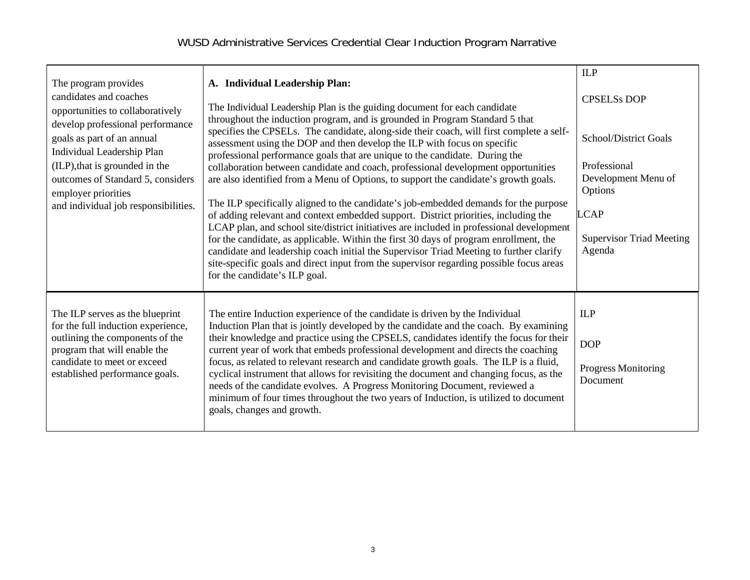|                                                                                                                                                                                                                                                                                                                          |                                                                                                                                                                                                                                                                                                                                                                                                                                                                                                                                                                                                                                                                                                                                                                                                                                                                                                                                                                                                                                                                                                                                                                                                                           | <b>ILP</b>                                                                                                                                                |
|--------------------------------------------------------------------------------------------------------------------------------------------------------------------------------------------------------------------------------------------------------------------------------------------------------------------------|---------------------------------------------------------------------------------------------------------------------------------------------------------------------------------------------------------------------------------------------------------------------------------------------------------------------------------------------------------------------------------------------------------------------------------------------------------------------------------------------------------------------------------------------------------------------------------------------------------------------------------------------------------------------------------------------------------------------------------------------------------------------------------------------------------------------------------------------------------------------------------------------------------------------------------------------------------------------------------------------------------------------------------------------------------------------------------------------------------------------------------------------------------------------------------------------------------------------------|-----------------------------------------------------------------------------------------------------------------------------------------------------------|
| The program provides<br>candidates and coaches<br>opportunities to collaboratively<br>develop professional performance<br>goals as part of an annual<br>Individual Leadership Plan<br>(ILP), that is grounded in the<br>outcomes of Standard 5, considers<br>employer priorities<br>and individual job responsibilities. | A. Individual Leadership Plan:<br>The Individual Leadership Plan is the guiding document for each candidate<br>throughout the induction program, and is grounded in Program Standard 5 that<br>specifies the CPSELs. The candidate, along-side their coach, will first complete a self-<br>assessment using the DOP and then develop the ILP with focus on specific<br>professional performance goals that are unique to the candidate. During the<br>collaboration between candidate and coach, professional development opportunities<br>are also identified from a Menu of Options, to support the candidate's growth goals.<br>The ILP specifically aligned to the candidate's job-embedded demands for the purpose<br>of adding relevant and context embedded support. District priorities, including the<br>LCAP plan, and school site/district initiatives are included in professional development<br>for the candidate, as applicable. Within the first 30 days of program enrollment, the<br>candidate and leadership coach initial the Supervisor Triad Meeting to further clarify<br>site-specific goals and direct input from the supervisor regarding possible focus areas<br>for the candidate's ILP goal. | <b>CPSELSs DOP</b><br>School/District Goals<br>Professional<br>Development Menu of<br>Options<br><b>LCAP</b><br><b>Supervisor Triad Meeting</b><br>Agenda |
| The ILP serves as the blueprint<br>for the full induction experience,<br>outlining the components of the<br>program that will enable the<br>candidate to meet or exceed<br>established performance goals.                                                                                                                | The entire Induction experience of the candidate is driven by the Individual<br>Induction Plan that is jointly developed by the candidate and the coach. By examining<br>their knowledge and practice using the CPSELS, candidates identify the focus for their<br>current year of work that embeds professional development and directs the coaching<br>focus, as related to relevant research and candidate growth goals. The ILP is a fluid,<br>cyclical instrument that allows for revisiting the document and changing focus, as the<br>needs of the candidate evolves. A Progress Monitoring Document, reviewed a<br>minimum of four times throughout the two years of Induction, is utilized to document<br>goals, changes and growth.                                                                                                                                                                                                                                                                                                                                                                                                                                                                             | <b>ILP</b><br><b>DOP</b><br><b>Progress Monitoring</b><br>Document                                                                                        |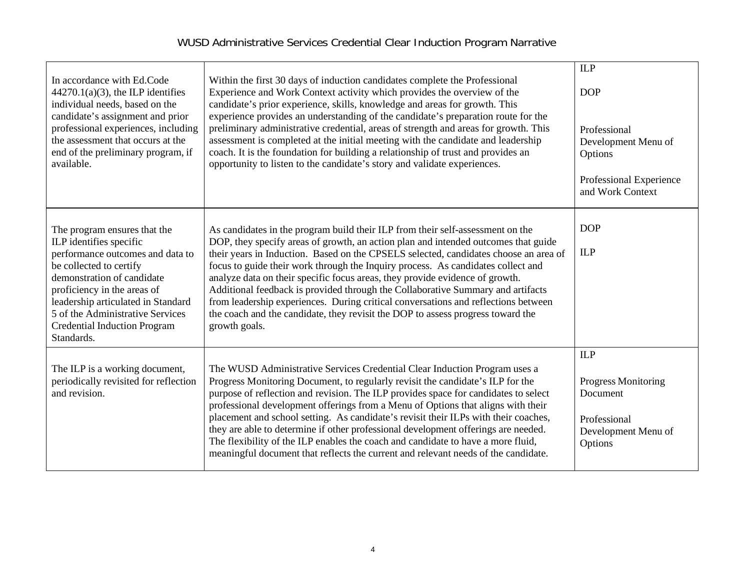| In accordance with Ed.Code<br>$44270.1(a)(3)$ , the ILP identifies<br>individual needs, based on the<br>candidate's assignment and prior<br>professional experiences, including<br>the assessment that occurs at the<br>end of the preliminary program, if<br>available.                                           | Within the first 30 days of induction candidates complete the Professional<br>Experience and Work Context activity which provides the overview of the<br>candidate's prior experience, skills, knowledge and areas for growth. This<br>experience provides an understanding of the candidate's preparation route for the<br>preliminary administrative credential, areas of strength and areas for growth. This<br>assessment is completed at the initial meeting with the candidate and leadership<br>coach. It is the foundation for building a relationship of trust and provides an<br>opportunity to listen to the candidate's story and validate experiences.                                           | <b>ILP</b><br><b>DOP</b><br>Professional<br>Development Menu of<br>Options<br>Professional Experience<br>and Work Context |
|--------------------------------------------------------------------------------------------------------------------------------------------------------------------------------------------------------------------------------------------------------------------------------------------------------------------|---------------------------------------------------------------------------------------------------------------------------------------------------------------------------------------------------------------------------------------------------------------------------------------------------------------------------------------------------------------------------------------------------------------------------------------------------------------------------------------------------------------------------------------------------------------------------------------------------------------------------------------------------------------------------------------------------------------|---------------------------------------------------------------------------------------------------------------------------|
| The program ensures that the<br>ILP identifies specific<br>performance outcomes and data to<br>be collected to certify<br>demonstration of candidate<br>proficiency in the areas of<br>leadership articulated in Standard<br>5 of the Administrative Services<br><b>Credential Induction Program</b><br>Standards. | As candidates in the program build their ILP from their self-assessment on the<br>DOP, they specify areas of growth, an action plan and intended outcomes that guide<br>their years in Induction. Based on the CPSELS selected, candidates choose an area of<br>focus to guide their work through the Inquiry process. As candidates collect and<br>analyze data on their specific focus areas, they provide evidence of growth.<br>Additional feedback is provided through the Collaborative Summary and artifacts<br>from leadership experiences. During critical conversations and reflections between<br>the coach and the candidate, they revisit the DOP to assess progress toward the<br>growth goals. | <b>DOP</b><br><b>ILP</b>                                                                                                  |
| The ILP is a working document,<br>periodically revisited for reflection<br>and revision.                                                                                                                                                                                                                           | The WUSD Administrative Services Credential Clear Induction Program uses a<br>Progress Monitoring Document, to regularly revisit the candidate's ILP for the<br>purpose of reflection and revision. The ILP provides space for candidates to select<br>professional development offerings from a Menu of Options that aligns with their<br>placement and school setting. As candidate's revisit their ILPs with their coaches,<br>they are able to determine if other professional development offerings are needed.<br>The flexibility of the ILP enables the coach and candidate to have a more fluid,<br>meaningful document that reflects the current and relevant needs of the candidate.                | <b>ILP</b><br><b>Progress Monitoring</b><br>Document<br>Professional<br>Development Menu of<br>Options                    |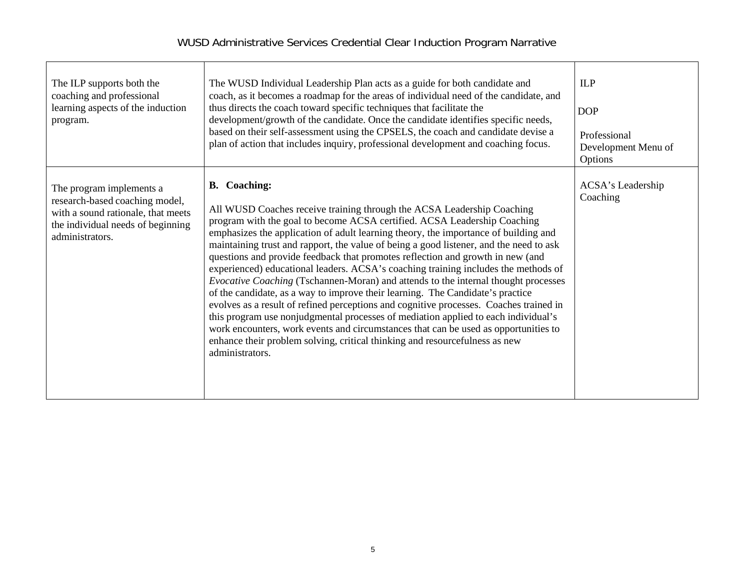$\mathsf{r}$ 

| The ILP supports both the<br>coaching and professional<br>learning aspects of the induction<br>program.                                                  | The WUSD Individual Leadership Plan acts as a guide for both candidate and<br>coach, as it becomes a roadmap for the areas of individual need of the candidate, and<br>thus directs the coach toward specific techniques that facilitate the<br>development/growth of the candidate. Once the candidate identifies specific needs,<br>based on their self-assessment using the CPSELS, the coach and candidate devise a<br>plan of action that includes inquiry, professional development and coaching focus.                                                                                                                                                                                                                                                                                                                                                                                                                                                                                                                                                                       | <b>ILP</b><br><b>DOP</b><br>Professional<br>Development Menu of<br>Options |
|----------------------------------------------------------------------------------------------------------------------------------------------------------|-------------------------------------------------------------------------------------------------------------------------------------------------------------------------------------------------------------------------------------------------------------------------------------------------------------------------------------------------------------------------------------------------------------------------------------------------------------------------------------------------------------------------------------------------------------------------------------------------------------------------------------------------------------------------------------------------------------------------------------------------------------------------------------------------------------------------------------------------------------------------------------------------------------------------------------------------------------------------------------------------------------------------------------------------------------------------------------|----------------------------------------------------------------------------|
| The program implements a<br>research-based coaching model,<br>with a sound rationale, that meets<br>the individual needs of beginning<br>administrators. | <b>B.</b> Coaching:<br>All WUSD Coaches receive training through the ACSA Leadership Coaching<br>program with the goal to become ACSA certified. ACSA Leadership Coaching<br>emphasizes the application of adult learning theory, the importance of building and<br>maintaining trust and rapport, the value of being a good listener, and the need to ask<br>questions and provide feedback that promotes reflection and growth in new (and<br>experienced) educational leaders. ACSA's coaching training includes the methods of<br>Evocative Coaching (Tschannen-Moran) and attends to the internal thought processes<br>of the candidate, as a way to improve their learning. The Candidate's practice<br>evolves as a result of refined perceptions and cognitive processes. Coaches trained in<br>this program use nonjudgmental processes of mediation applied to each individual's<br>work encounters, work events and circumstances that can be used as opportunities to<br>enhance their problem solving, critical thinking and resourcefulness as new<br>administrators. | ACSA's Leadership<br>Coaching                                              |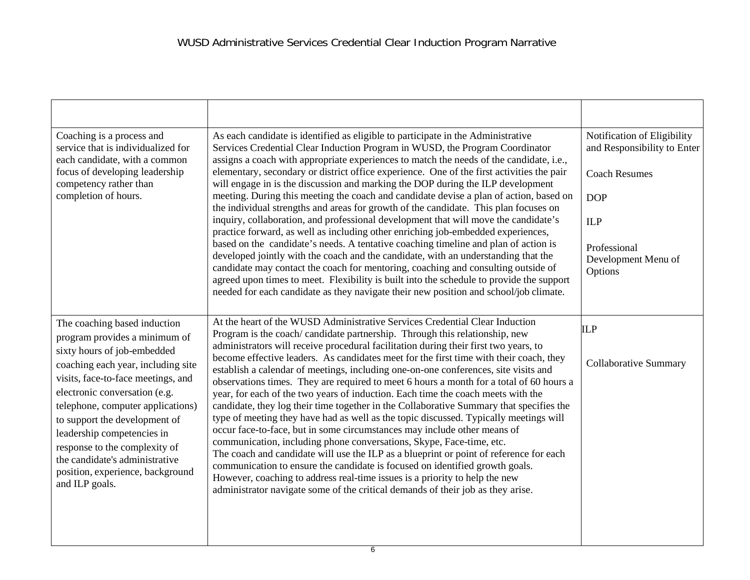| Coaching is a process and<br>service that is individualized for<br>each candidate, with a common<br>focus of developing leadership<br>competency rather than<br>completion of hours.                                                                                                                                                                                                                                                   | As each candidate is identified as eligible to participate in the Administrative<br>Services Credential Clear Induction Program in WUSD, the Program Coordinator<br>assigns a coach with appropriate experiences to match the needs of the candidate, i.e.,<br>elementary, secondary or district office experience. One of the first activities the pair<br>will engage in is the discussion and marking the DOP during the ILP development<br>meeting. During this meeting the coach and candidate devise a plan of action, based on<br>the individual strengths and areas for growth of the candidate. This plan focuses on<br>inquiry, collaboration, and professional development that will move the candidate's<br>practice forward, as well as including other enriching job-embedded experiences,<br>based on the candidate's needs. A tentative coaching timeline and plan of action is<br>developed jointly with the coach and the candidate, with an understanding that the<br>candidate may contact the coach for mentoring, coaching and consulting outside of<br>agreed upon times to meet. Flexibility is built into the schedule to provide the support<br>needed for each candidate as they navigate their new position and school/job climate.                                       | Notification of Eligibility<br>and Responsibility to Enter<br><b>Coach Resumes</b><br><b>DOP</b><br><b>ILP</b><br>Professional<br>Development Menu of<br>Options |
|----------------------------------------------------------------------------------------------------------------------------------------------------------------------------------------------------------------------------------------------------------------------------------------------------------------------------------------------------------------------------------------------------------------------------------------|-------------------------------------------------------------------------------------------------------------------------------------------------------------------------------------------------------------------------------------------------------------------------------------------------------------------------------------------------------------------------------------------------------------------------------------------------------------------------------------------------------------------------------------------------------------------------------------------------------------------------------------------------------------------------------------------------------------------------------------------------------------------------------------------------------------------------------------------------------------------------------------------------------------------------------------------------------------------------------------------------------------------------------------------------------------------------------------------------------------------------------------------------------------------------------------------------------------------------------------------------------------------------------------------------------|------------------------------------------------------------------------------------------------------------------------------------------------------------------|
| The coaching based induction<br>program provides a minimum of<br>sixty hours of job-embedded<br>coaching each year, including site<br>visits, face-to-face meetings, and<br>electronic conversation (e.g.<br>telephone, computer applications)<br>to support the development of<br>leadership competencies in<br>response to the complexity of<br>the candidate's administrative<br>position, experience, background<br>and ILP goals. | At the heart of the WUSD Administrative Services Credential Clear Induction<br>Program is the coach/candidate partnership. Through this relationship, new<br>administrators will receive procedural facilitation during their first two years, to<br>become effective leaders. As candidates meet for the first time with their coach, they<br>establish a calendar of meetings, including one-on-one conferences, site visits and<br>observations times. They are required to meet 6 hours a month for a total of 60 hours a<br>year, for each of the two years of induction. Each time the coach meets with the<br>candidate, they log their time together in the Collaborative Summary that specifies the<br>type of meeting they have had as well as the topic discussed. Typically meetings will<br>occur face-to-face, but in some circumstances may include other means of<br>communication, including phone conversations, Skype, Face-time, etc.<br>The coach and candidate will use the ILP as a blueprint or point of reference for each<br>communication to ensure the candidate is focused on identified growth goals.<br>However, coaching to address real-time issues is a priority to help the new<br>administrator navigate some of the critical demands of their job as they arise. | <b>ILP</b><br><b>Collaborative Summary</b>                                                                                                                       |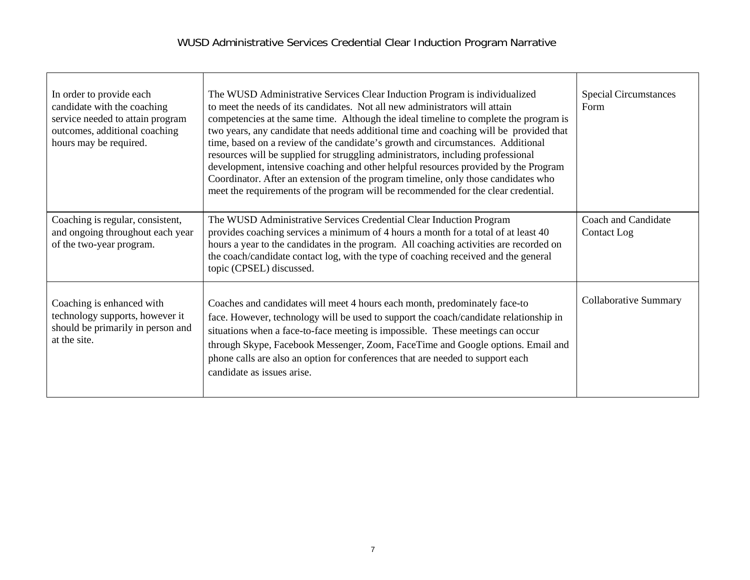| In order to provide each<br>candidate with the coaching<br>service needed to attain program<br>outcomes, additional coaching<br>hours may be required. | The WUSD Administrative Services Clear Induction Program is individualized<br>to meet the needs of its candidates. Not all new administrators will attain<br>competencies at the same time. Although the ideal timeline to complete the program is<br>two years, any candidate that needs additional time and coaching will be provided that<br>time, based on a review of the candidate's growth and circumstances. Additional<br>resources will be supplied for struggling administrators, including professional<br>development, intensive coaching and other helpful resources provided by the Program<br>Coordinator. After an extension of the program timeline, only those candidates who<br>meet the requirements of the program will be recommended for the clear credential. | <b>Special Circumstances</b><br>Form |
|--------------------------------------------------------------------------------------------------------------------------------------------------------|----------------------------------------------------------------------------------------------------------------------------------------------------------------------------------------------------------------------------------------------------------------------------------------------------------------------------------------------------------------------------------------------------------------------------------------------------------------------------------------------------------------------------------------------------------------------------------------------------------------------------------------------------------------------------------------------------------------------------------------------------------------------------------------|--------------------------------------|
| Coaching is regular, consistent,<br>and ongoing throughout each year<br>of the two-year program.                                                       | The WUSD Administrative Services Credential Clear Induction Program<br>provides coaching services a minimum of 4 hours a month for a total of at least 40<br>hours a year to the candidates in the program. All coaching activities are recorded on<br>the coach/candidate contact log, with the type of coaching received and the general<br>topic (CPSEL) discussed.                                                                                                                                                                                                                                                                                                                                                                                                                 | Coach and Candidate<br>Contact Log   |
| Coaching is enhanced with<br>technology supports, however it<br>should be primarily in person and<br>at the site.                                      | Coaches and candidates will meet 4 hours each month, predominately face-to<br>face. However, technology will be used to support the coach/candidate relationship in<br>situations when a face-to-face meeting is impossible. These meetings can occur<br>through Skype, Facebook Messenger, Zoom, FaceTime and Google options. Email and<br>phone calls are also an option for conferences that are needed to support each<br>candidate as issues arise.                                                                                                                                                                                                                                                                                                                               | <b>Collaborative Summary</b>         |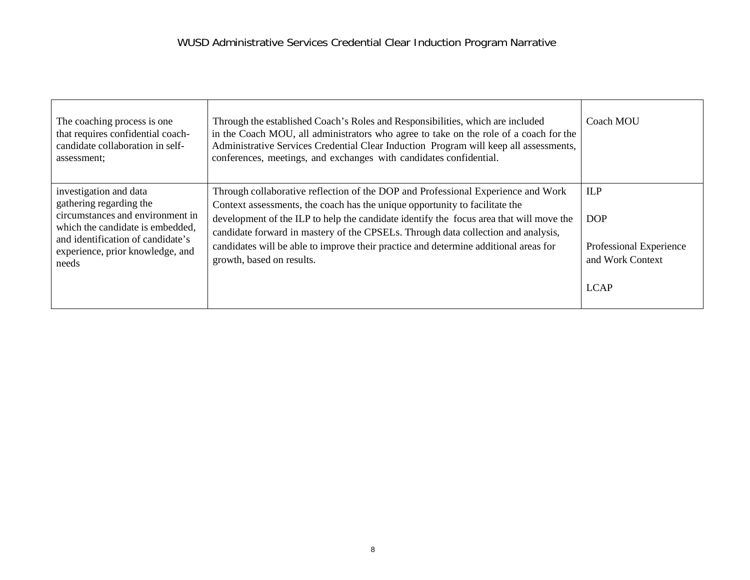| The coaching process is one.<br>that requires confidential coach-<br>candidate collaboration in self-<br>assessment:                                                                                        | Through the established Coach's Roles and Responsibilities, which are included<br>in the Coach MOU, all administrators who agree to take on the role of a coach for the<br>Administrative Services Credential Clear Induction Program will keep all assessments,<br>conferences, meetings, and exchanges with candidates confidential.                                                                                                                               | Coach MOU                                                                              |
|-------------------------------------------------------------------------------------------------------------------------------------------------------------------------------------------------------------|----------------------------------------------------------------------------------------------------------------------------------------------------------------------------------------------------------------------------------------------------------------------------------------------------------------------------------------------------------------------------------------------------------------------------------------------------------------------|----------------------------------------------------------------------------------------|
| investigation and data<br>gathering regarding the<br>circumstances and environment in<br>which the candidate is embedded,<br>and identification of candidate's<br>experience, prior knowledge, and<br>needs | Through collaborative reflection of the DOP and Professional Experience and Work<br>Context assessments, the coach has the unique opportunity to facilitate the<br>development of the ILP to help the candidate identify the focus area that will move the<br>candidate forward in mastery of the CPSELs. Through data collection and analysis,<br>candidates will be able to improve their practice and determine additional areas for<br>growth, based on results. | <b>ILP</b><br><b>DOP</b><br>Professional Experience<br>and Work Context<br><b>LCAP</b> |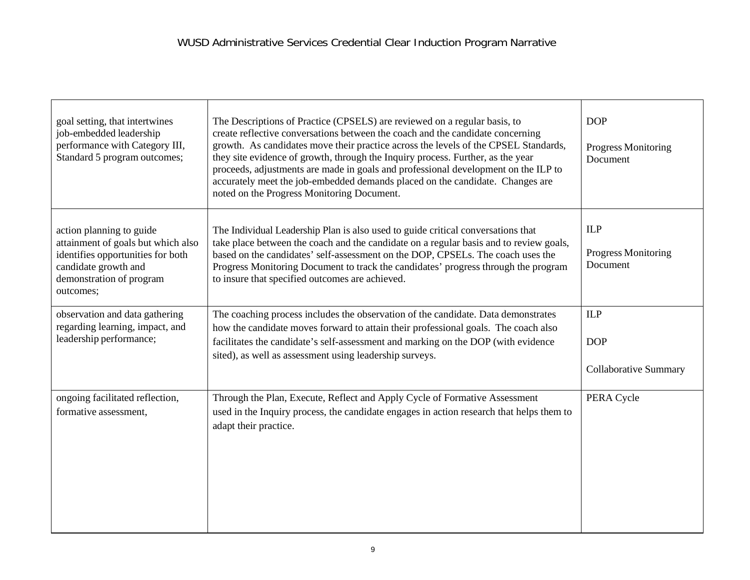| goal setting, that intertwines<br>job-embedded leadership<br>performance with Category III,<br>Standard 5 program outcomes;                                          | The Descriptions of Practice (CPSELS) are reviewed on a regular basis, to<br>create reflective conversations between the coach and the candidate concerning<br>growth. As candidates move their practice across the levels of the CPSEL Standards,<br>they site evidence of growth, through the Inquiry process. Further, as the year<br>proceeds, adjustments are made in goals and professional development on the ILP to<br>accurately meet the job-embedded demands placed on the candidate. Changes are<br>noted on the Progress Monitoring Document. | <b>DOP</b><br><b>Progress Monitoring</b><br>Document     |
|----------------------------------------------------------------------------------------------------------------------------------------------------------------------|------------------------------------------------------------------------------------------------------------------------------------------------------------------------------------------------------------------------------------------------------------------------------------------------------------------------------------------------------------------------------------------------------------------------------------------------------------------------------------------------------------------------------------------------------------|----------------------------------------------------------|
| action planning to guide<br>attainment of goals but which also<br>identifies opportunities for both<br>candidate growth and<br>demonstration of program<br>outcomes; | The Individual Leadership Plan is also used to guide critical conversations that<br>take place between the coach and the candidate on a regular basis and to review goals,<br>based on the candidates' self-assessment on the DOP, CPSELs. The coach uses the<br>Progress Monitoring Document to track the candidates' progress through the program<br>to insure that specified outcomes are achieved.                                                                                                                                                     | <b>ILP</b><br><b>Progress Monitoring</b><br>Document     |
| observation and data gathering<br>regarding learning, impact, and<br>leadership performance;                                                                         | The coaching process includes the observation of the candidate. Data demonstrates<br>how the candidate moves forward to attain their professional goals. The coach also<br>facilitates the candidate's self-assessment and marking on the DOP (with evidence<br>sited), as well as assessment using leadership surveys.                                                                                                                                                                                                                                    | <b>ILP</b><br><b>DOP</b><br><b>Collaborative Summary</b> |
| ongoing facilitated reflection,<br>formative assessment,                                                                                                             | Through the Plan, Execute, Reflect and Apply Cycle of Formative Assessment<br>used in the Inquiry process, the candidate engages in action research that helps them to<br>adapt their practice.                                                                                                                                                                                                                                                                                                                                                            | PERA Cycle                                               |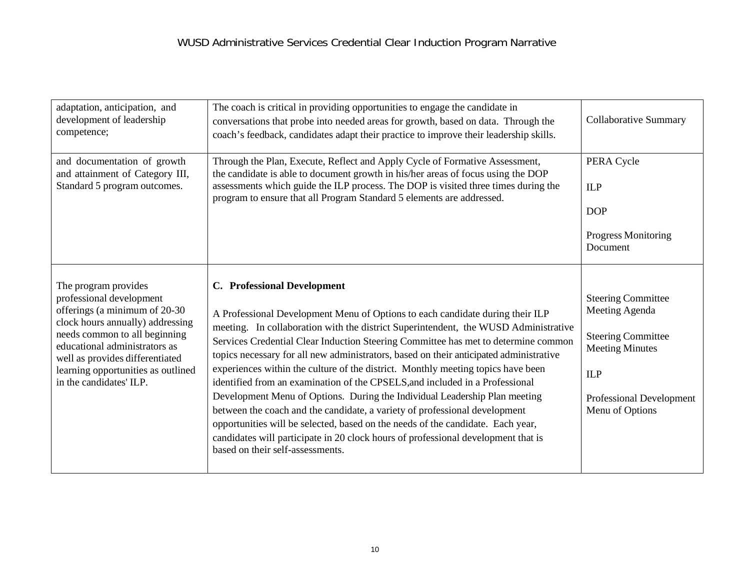| adaptation, anticipation, and<br>development of leadership<br>competence;                                                                                                                                                                                                                   | The coach is critical in providing opportunities to engage the candidate in<br>conversations that probe into needed areas for growth, based on data. Through the<br>coach's feedback, candidates adapt their practice to improve their leadership skills.                                                                                                                                                                                                                                                                                                                                                                                                                                                                                                                                                                                                                                                                       | <b>Collaborative Summary</b>                                                                                                                                    |
|---------------------------------------------------------------------------------------------------------------------------------------------------------------------------------------------------------------------------------------------------------------------------------------------|---------------------------------------------------------------------------------------------------------------------------------------------------------------------------------------------------------------------------------------------------------------------------------------------------------------------------------------------------------------------------------------------------------------------------------------------------------------------------------------------------------------------------------------------------------------------------------------------------------------------------------------------------------------------------------------------------------------------------------------------------------------------------------------------------------------------------------------------------------------------------------------------------------------------------------|-----------------------------------------------------------------------------------------------------------------------------------------------------------------|
| and documentation of growth<br>and attainment of Category III,<br>Standard 5 program outcomes.                                                                                                                                                                                              | Through the Plan, Execute, Reflect and Apply Cycle of Formative Assessment,<br>the candidate is able to document growth in his/her areas of focus using the DOP<br>assessments which guide the ILP process. The DOP is visited three times during the<br>program to ensure that all Program Standard 5 elements are addressed.                                                                                                                                                                                                                                                                                                                                                                                                                                                                                                                                                                                                  | PERA Cycle<br><b>ILP</b><br><b>DOP</b><br><b>Progress Monitoring</b><br>Document                                                                                |
| The program provides<br>professional development<br>offerings (a minimum of 20-30<br>clock hours annually) addressing<br>needs common to all beginning<br>educational administrators as<br>well as provides differentiated<br>learning opportunities as outlined<br>in the candidates' ILP. | C. Professional Development<br>A Professional Development Menu of Options to each candidate during their ILP<br>meeting. In collaboration with the district Superintendent, the WUSD Administrative<br>Services Credential Clear Induction Steering Committee has met to determine common<br>topics necessary for all new administrators, based on their anticipated administrative<br>experiences within the culture of the district. Monthly meeting topics have been<br>identified from an examination of the CPSELS, and included in a Professional<br>Development Menu of Options. During the Individual Leadership Plan meeting<br>between the coach and the candidate, a variety of professional development<br>opportunities will be selected, based on the needs of the candidate. Each year,<br>candidates will participate in 20 clock hours of professional development that is<br>based on their self-assessments. | <b>Steering Committee</b><br>Meeting Agenda<br><b>Steering Committee</b><br><b>Meeting Minutes</b><br><b>ILP</b><br>Professional Development<br>Menu of Options |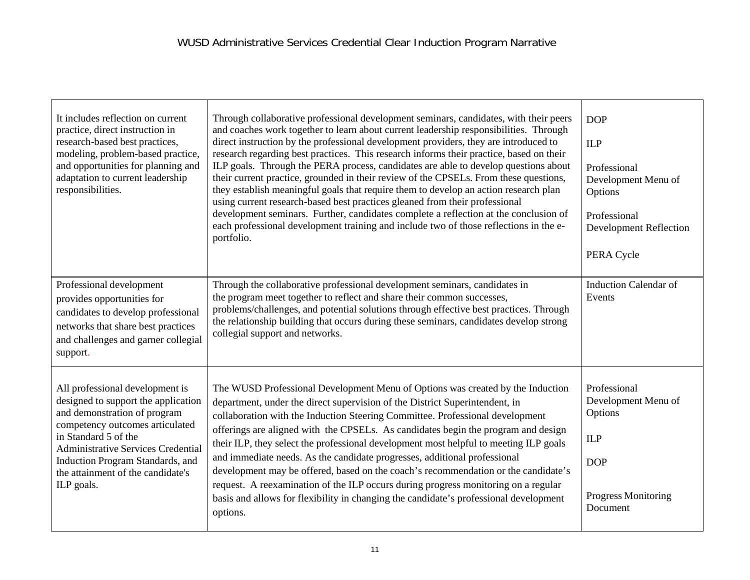| It includes reflection on current<br>practice, direct instruction in<br>research-based best practices,<br>modeling, problem-based practice,<br>and opportunities for planning and<br>adaptation to current leadership<br>responsibilities.                                                            | Through collaborative professional development seminars, candidates, with their peers<br>and coaches work together to learn about current leadership responsibilities. Through<br>direct instruction by the professional development providers, they are introduced to<br>research regarding best practices. This research informs their practice, based on their<br>ILP goals. Through the PERA process, candidates are able to develop questions about<br>their current practice, grounded in their review of the CPSELs. From these questions,<br>they establish meaningful goals that require them to develop an action research plan<br>using current research-based best practices gleaned from their professional<br>development seminars. Further, candidates complete a reflection at the conclusion of<br>each professional development training and include two of those reflections in the e-<br>portfolio. | <b>DOP</b><br><b>ILP</b><br>Professional<br>Development Menu of<br>Options<br>Professional<br><b>Development Reflection</b><br>PERA Cycle |
|-------------------------------------------------------------------------------------------------------------------------------------------------------------------------------------------------------------------------------------------------------------------------------------------------------|-------------------------------------------------------------------------------------------------------------------------------------------------------------------------------------------------------------------------------------------------------------------------------------------------------------------------------------------------------------------------------------------------------------------------------------------------------------------------------------------------------------------------------------------------------------------------------------------------------------------------------------------------------------------------------------------------------------------------------------------------------------------------------------------------------------------------------------------------------------------------------------------------------------------------|-------------------------------------------------------------------------------------------------------------------------------------------|
| Professional development<br>provides opportunities for<br>candidates to develop professional<br>networks that share best practices<br>and challenges and garner collegial<br>support.                                                                                                                 | Through the collaborative professional development seminars, candidates in<br>the program meet together to reflect and share their common successes,<br>problems/challenges, and potential solutions through effective best practices. Through<br>the relationship building that occurs during these seminars, candidates develop strong<br>collegial support and networks.                                                                                                                                                                                                                                                                                                                                                                                                                                                                                                                                             | <b>Induction Calendar of</b><br>Events                                                                                                    |
| All professional development is<br>designed to support the application<br>and demonstration of program<br>competency outcomes articulated<br>in Standard 5 of the<br><b>Administrative Services Credential</b><br>Induction Program Standards, and<br>the attainment of the candidate's<br>ILP goals. | The WUSD Professional Development Menu of Options was created by the Induction<br>department, under the direct supervision of the District Superintendent, in<br>collaboration with the Induction Steering Committee. Professional development<br>offerings are aligned with the CPSELs. As candidates begin the program and design<br>their ILP, they select the professional development most helpful to meeting ILP goals<br>and immediate needs. As the candidate progresses, additional professional<br>development may be offered, based on the coach's recommendation or the candidate's<br>request. A reexamination of the ILP occurs during progress monitoring on a regular<br>basis and allows for flexibility in changing the candidate's professional development<br>options.                                                                                                                              | Professional<br>Development Menu of<br>Options<br><b>ILP</b><br><b>DOP</b><br><b>Progress Monitoring</b><br>Document                      |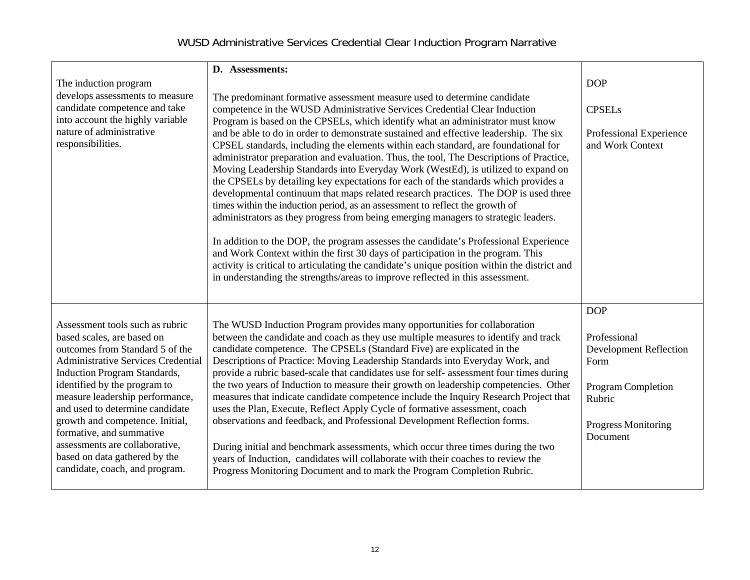| The induction program<br>develops assessments to measure<br>candidate competence and take<br>into account the highly variable<br>nature of administrative<br>responsibilities.                                                                                                                                                                                                                                                                                 | D. Assessments:<br>The predominant formative assessment measure used to determine candidate<br>competence in the WUSD Administrative Services Credential Clear Induction<br>Program is based on the CPSELs, which identify what an administrator must know<br>and be able to do in order to demonstrate sustained and effective leadership. The six<br>CPSEL standards, including the elements within each standard, are foundational for<br>administrator preparation and evaluation. Thus, the tool, The Descriptions of Practice,<br>Moving Leadership Standards into Everyday Work (WestEd), is utilized to expand on<br>the CPSELs by detailing key expectations for each of the standards which provides a<br>developmental continuum that maps related research practices. The DOP is used three<br>times within the induction period, as an assessment to reflect the growth of<br>administrators as they progress from being emerging managers to strategic leaders.<br>In addition to the DOP, the program assesses the candidate's Professional Experience<br>and Work Context within the first 30 days of participation in the program. This | <b>DOP</b><br><b>CPSELs</b><br>Professional Experience<br>and Work Context                                                             |
|----------------------------------------------------------------------------------------------------------------------------------------------------------------------------------------------------------------------------------------------------------------------------------------------------------------------------------------------------------------------------------------------------------------------------------------------------------------|----------------------------------------------------------------------------------------------------------------------------------------------------------------------------------------------------------------------------------------------------------------------------------------------------------------------------------------------------------------------------------------------------------------------------------------------------------------------------------------------------------------------------------------------------------------------------------------------------------------------------------------------------------------------------------------------------------------------------------------------------------------------------------------------------------------------------------------------------------------------------------------------------------------------------------------------------------------------------------------------------------------------------------------------------------------------------------------------------------------------------------------------------------|----------------------------------------------------------------------------------------------------------------------------------------|
|                                                                                                                                                                                                                                                                                                                                                                                                                                                                | activity is critical to articulating the candidate's unique position within the district and<br>in understanding the strengths/areas to improve reflected in this assessment.                                                                                                                                                                                                                                                                                                                                                                                                                                                                                                                                                                                                                                                                                                                                                                                                                                                                                                                                                                            |                                                                                                                                        |
|                                                                                                                                                                                                                                                                                                                                                                                                                                                                |                                                                                                                                                                                                                                                                                                                                                                                                                                                                                                                                                                                                                                                                                                                                                                                                                                                                                                                                                                                                                                                                                                                                                          | <b>DOP</b>                                                                                                                             |
| Assessment tools such as rubric<br>based scales, are based on<br>outcomes from Standard 5 of the<br><b>Administrative Services Credential</b><br><b>Induction Program Standards,</b><br>identified by the program to<br>measure leadership performance,<br>and used to determine candidate<br>growth and competence. Initial,<br>formative, and summative<br>assessments are collaborative,<br>based on data gathered by the<br>candidate, coach, and program. | The WUSD Induction Program provides many opportunities for collaboration<br>between the candidate and coach as they use multiple measures to identify and track<br>candidate competence. The CPSELs (Standard Five) are explicated in the<br>Descriptions of Practice: Moving Leadership Standards into Everyday Work, and<br>provide a rubric based-scale that candidates use for self- assessment four times during<br>the two years of Induction to measure their growth on leadership competencies. Other<br>measures that indicate candidate competence include the Inquiry Research Project that<br>uses the Plan, Execute, Reflect Apply Cycle of formative assessment, coach<br>observations and feedback, and Professional Development Reflection forms.<br>During initial and benchmark assessments, which occur three times during the two<br>years of Induction, candidates will collaborate with their coaches to review the<br>Progress Monitoring Document and to mark the Program Completion Rubric.                                                                                                                                     | Professional<br><b>Development Reflection</b><br>Form<br><b>Program Completion</b><br>Rubric<br><b>Progress Monitoring</b><br>Document |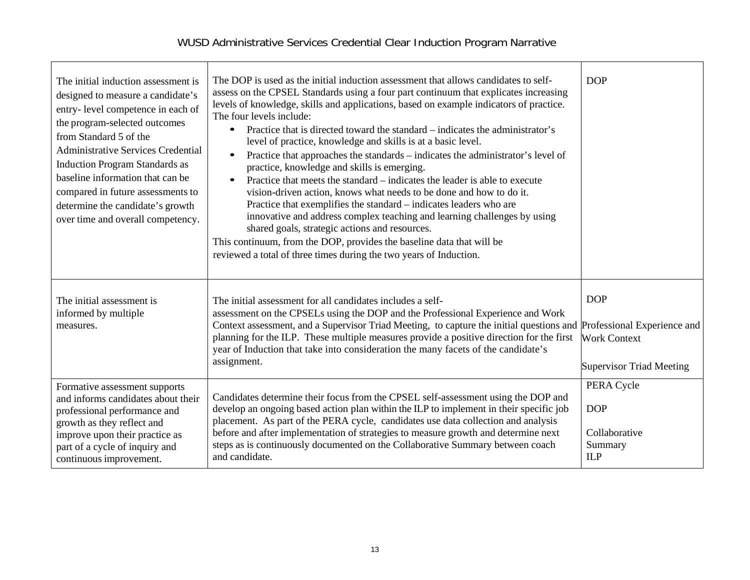### WUSD Administrative Services Credential Clear Induction Program Narrative

| The initial induction assessment is<br>designed to measure a candidate's<br>entry-level competence in each of<br>the program-selected outcomes<br>from Standard 5 of the<br><b>Administrative Services Credential</b><br><b>Induction Program Standards as</b><br>baseline information that can be<br>compared in future assessments to<br>determine the candidate's growth<br>over time and overall competency. | The DOP is used as the initial induction assessment that allows candidates to self-<br>assess on the CPSEL Standards using a four part continuum that explicates increasing<br>levels of knowledge, skills and applications, based on example indicators of practice.<br>The four levels include:<br>Practice that is directed toward the standard – indicates the administrator's<br>$\bullet$<br>level of practice, knowledge and skills is at a basic level.<br>Practice that approaches the standards - indicates the administrator's level of<br>$\bullet$<br>practice, knowledge and skills is emerging.<br>Practice that meets the standard – indicates the leader is able to execute<br>vision-driven action, knows what needs to be done and how to do it.<br>Practice that exemplifies the standard - indicates leaders who are<br>innovative and address complex teaching and learning challenges by using<br>shared goals, strategic actions and resources.<br>This continuum, from the DOP, provides the baseline data that will be<br>reviewed a total of three times during the two years of Induction. | <b>DOP</b>                                                           |
|------------------------------------------------------------------------------------------------------------------------------------------------------------------------------------------------------------------------------------------------------------------------------------------------------------------------------------------------------------------------------------------------------------------|------------------------------------------------------------------------------------------------------------------------------------------------------------------------------------------------------------------------------------------------------------------------------------------------------------------------------------------------------------------------------------------------------------------------------------------------------------------------------------------------------------------------------------------------------------------------------------------------------------------------------------------------------------------------------------------------------------------------------------------------------------------------------------------------------------------------------------------------------------------------------------------------------------------------------------------------------------------------------------------------------------------------------------------------------------------------------------------------------------------------|----------------------------------------------------------------------|
| The initial assessment is<br>informed by multiple<br>measures.                                                                                                                                                                                                                                                                                                                                                   | The initial assessment for all candidates includes a self-<br>assessment on the CPSELs using the DOP and the Professional Experience and Work<br>Context assessment, and a Supervisor Triad Meeting, to capture the initial questions and Professional Experience and<br>planning for the ILP. These multiple measures provide a positive direction for the first<br>year of Induction that take into consideration the many facets of the candidate's<br>assignment.                                                                                                                                                                                                                                                                                                                                                                                                                                                                                                                                                                                                                                                  | <b>DOP</b><br><b>Work Context</b><br><b>Supervisor Triad Meeting</b> |
| Formative assessment supports<br>and informs candidates about their<br>professional performance and<br>growth as they reflect and<br>improve upon their practice as<br>part of a cycle of inquiry and<br>continuous improvement.                                                                                                                                                                                 | Candidates determine their focus from the CPSEL self-assessment using the DOP and<br>develop an ongoing based action plan within the ILP to implement in their specific job<br>placement. As part of the PERA cycle, candidates use data collection and analysis<br>before and after implementation of strategies to measure growth and determine next<br>steps as is continuously documented on the Collaborative Summary between coach<br>and candidate.                                                                                                                                                                                                                                                                                                                                                                                                                                                                                                                                                                                                                                                             | PERA Cycle<br><b>DOP</b><br>Collaborative<br>Summary<br><b>ILP</b>   |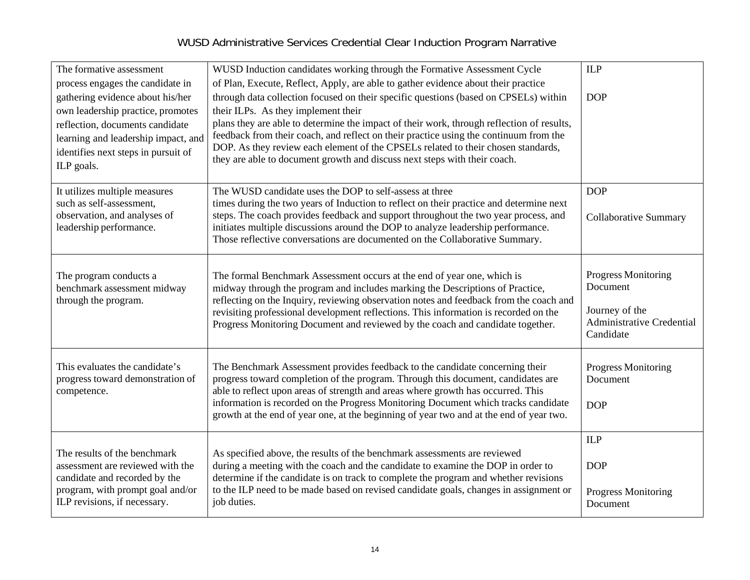| The formative assessment                                          | WUSD Induction candidates working through the Formative Assessment Cycle                                                                                                      | <b>ILP</b>                                  |
|-------------------------------------------------------------------|-------------------------------------------------------------------------------------------------------------------------------------------------------------------------------|---------------------------------------------|
| process engages the candidate in                                  | of Plan, Execute, Reflect, Apply, are able to gather evidence about their practice                                                                                            |                                             |
| gathering evidence about his/her                                  | through data collection focused on their specific questions (based on CPSELs) within                                                                                          | <b>DOP</b>                                  |
| own leadership practice, promotes                                 | their ILPs. As they implement their                                                                                                                                           |                                             |
| reflection, documents candidate                                   | plans they are able to determine the impact of their work, through reflection of results,                                                                                     |                                             |
| learning and leadership impact, and                               | feedback from their coach, and reflect on their practice using the continuum from the                                                                                         |                                             |
| identifies next steps in pursuit of                               | DOP. As they review each element of the CPSELs related to their chosen standards,                                                                                             |                                             |
| ILP goals.                                                        | they are able to document growth and discuss next steps with their coach.                                                                                                     |                                             |
|                                                                   |                                                                                                                                                                               |                                             |
| It utilizes multiple measures                                     | The WUSD candidate uses the DOP to self-assess at three                                                                                                                       | <b>DOP</b>                                  |
| such as self-assessment,                                          | times during the two years of Induction to reflect on their practice and determine next                                                                                       |                                             |
| observation, and analyses of                                      | steps. The coach provides feedback and support throughout the two year process, and                                                                                           | <b>Collaborative Summary</b>                |
| leadership performance.                                           | initiates multiple discussions around the DOP to analyze leadership performance.<br>Those reflective conversations are documented on the Collaborative Summary.               |                                             |
|                                                                   |                                                                                                                                                                               |                                             |
|                                                                   |                                                                                                                                                                               |                                             |
| The program conducts a                                            | The formal Benchmark Assessment occurs at the end of year one, which is                                                                                                       | <b>Progress Monitoring</b>                  |
| benchmark assessment midway                                       | midway through the program and includes marking the Descriptions of Practice,                                                                                                 | Document                                    |
| through the program.                                              | reflecting on the Inquiry, reviewing observation notes and feedback from the coach and                                                                                        |                                             |
|                                                                   | revisiting professional development reflections. This information is recorded on the<br>Progress Monitoring Document and reviewed by the coach and candidate together.        | Journey of the<br>Administrative Credential |
|                                                                   |                                                                                                                                                                               | Candidate                                   |
|                                                                   |                                                                                                                                                                               |                                             |
| This evaluates the candidate's                                    |                                                                                                                                                                               |                                             |
| progress toward demonstration of                                  | The Benchmark Assessment provides feedback to the candidate concerning their<br>progress toward completion of the program. Through this document, candidates are              | Progress Monitoring<br>Document             |
| competence.                                                       | able to reflect upon areas of strength and areas where growth has occurred. This                                                                                              |                                             |
|                                                                   | information is recorded on the Progress Monitoring Document which tracks candidate                                                                                            | <b>DOP</b>                                  |
|                                                                   | growth at the end of year one, at the beginning of year two and at the end of year two.                                                                                       |                                             |
|                                                                   |                                                                                                                                                                               |                                             |
|                                                                   |                                                                                                                                                                               | <b>ILP</b>                                  |
| The results of the benchmark                                      | As specified above, the results of the benchmark assessments are reviewed                                                                                                     |                                             |
| assessment are reviewed with the                                  | during a meeting with the coach and the candidate to examine the DOP in order to                                                                                              | <b>DOP</b>                                  |
| candidate and recorded by the<br>program, with prompt goal and/or | determine if the candidate is on track to complete the program and whether revisions<br>to the ILP need to be made based on revised candidate goals, changes in assignment or |                                             |
| ILP revisions, if necessary.                                      | job duties.                                                                                                                                                                   | <b>Progress Monitoring</b><br>Document      |
|                                                                   |                                                                                                                                                                               |                                             |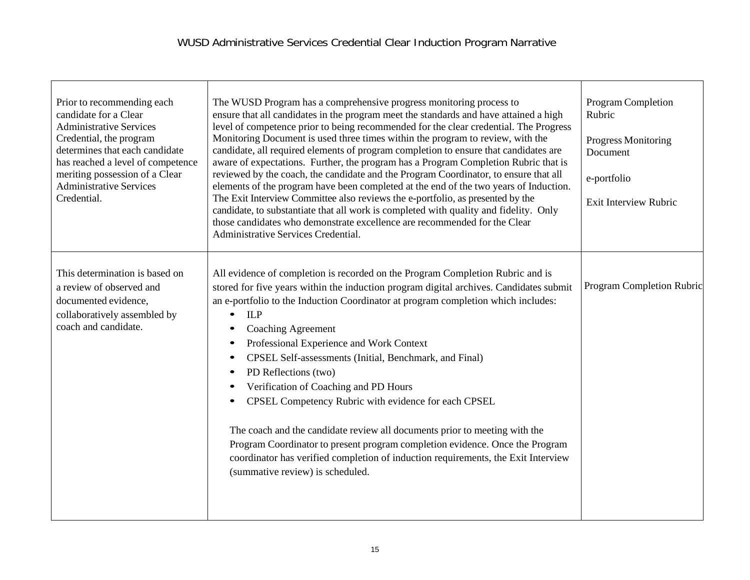| Prior to recommending each<br>candidate for a Clear<br><b>Administrative Services</b><br>Credential, the program<br>determines that each candidate<br>has reached a level of competence<br>meriting possession of a Clear<br><b>Administrative Services</b><br>Credential. | The WUSD Program has a comprehensive progress monitoring process to<br>ensure that all candidates in the program meet the standards and have attained a high<br>level of competence prior to being recommended for the clear credential. The Progress<br>Monitoring Document is used three times within the program to review, with the<br>candidate, all required elements of program completion to ensure that candidates are<br>aware of expectations. Further, the program has a Program Completion Rubric that is<br>reviewed by the coach, the candidate and the Program Coordinator, to ensure that all<br>elements of the program have been completed at the end of the two years of Induction.<br>The Exit Interview Committee also reviews the e-portfolio, as presented by the<br>candidate, to substantiate that all work is completed with quality and fidelity. Only<br>those candidates who demonstrate excellence are recommended for the Clear<br>Administrative Services Credential. | Program Completion<br>Rubric<br><b>Progress Monitoring</b><br>Document<br>e-portfolio<br><b>Exit Interview Rubric</b> |
|----------------------------------------------------------------------------------------------------------------------------------------------------------------------------------------------------------------------------------------------------------------------------|--------------------------------------------------------------------------------------------------------------------------------------------------------------------------------------------------------------------------------------------------------------------------------------------------------------------------------------------------------------------------------------------------------------------------------------------------------------------------------------------------------------------------------------------------------------------------------------------------------------------------------------------------------------------------------------------------------------------------------------------------------------------------------------------------------------------------------------------------------------------------------------------------------------------------------------------------------------------------------------------------------|-----------------------------------------------------------------------------------------------------------------------|
| This determination is based on<br>a review of observed and<br>documented evidence,<br>collaboratively assembled by<br>coach and candidate.                                                                                                                                 | All evidence of completion is recorded on the Program Completion Rubric and is<br>stored for five years within the induction program digital archives. Candidates submit<br>an e-portfolio to the Induction Coordinator at program completion which includes:<br><b>ILP</b><br>$\bullet$<br><b>Coaching Agreement</b><br>Professional Experience and Work Context<br>CPSEL Self-assessments (Initial, Benchmark, and Final)<br>PD Reflections (two)<br>$\bullet$<br>Verification of Coaching and PD Hours<br>CPSEL Competency Rubric with evidence for each CPSEL<br>The coach and the candidate review all documents prior to meeting with the<br>Program Coordinator to present program completion evidence. Once the Program<br>coordinator has verified completion of induction requirements, the Exit Interview<br>(summative review) is scheduled.                                                                                                                                               | <b>Program Completion Rubric</b>                                                                                      |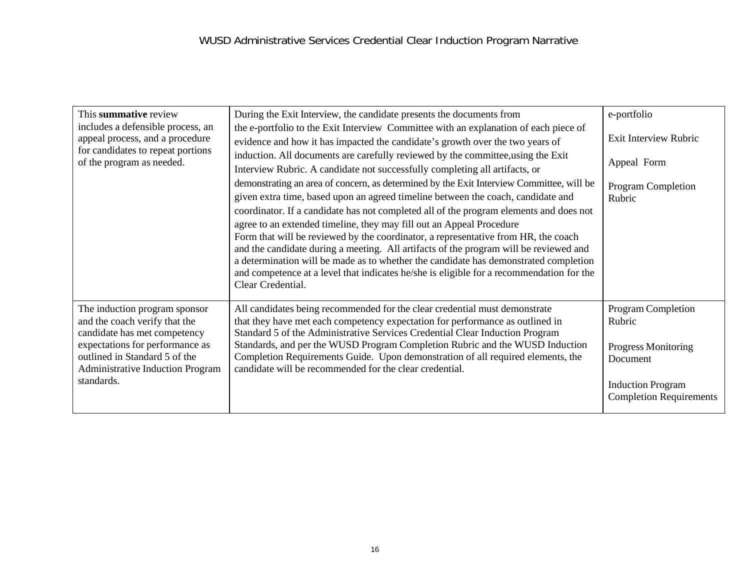| This summative review                                                                                                                                                                                         | During the Exit Interview, the candidate presents the documents from                                                                                                                                                                                                                                                                                                                                                                                                                                                                                                                                                                                                                                                                                                                                                                                                                                      | e-portfolio                                                            |
|---------------------------------------------------------------------------------------------------------------------------------------------------------------------------------------------------------------|-----------------------------------------------------------------------------------------------------------------------------------------------------------------------------------------------------------------------------------------------------------------------------------------------------------------------------------------------------------------------------------------------------------------------------------------------------------------------------------------------------------------------------------------------------------------------------------------------------------------------------------------------------------------------------------------------------------------------------------------------------------------------------------------------------------------------------------------------------------------------------------------------------------|------------------------------------------------------------------------|
| includes a defensible process, an                                                                                                                                                                             | the e-portfolio to the Exit Interview Committee with an explanation of each piece of                                                                                                                                                                                                                                                                                                                                                                                                                                                                                                                                                                                                                                                                                                                                                                                                                      |                                                                        |
| appeal process, and a procedure                                                                                                                                                                               | evidence and how it has impacted the candidate's growth over the two years of                                                                                                                                                                                                                                                                                                                                                                                                                                                                                                                                                                                                                                                                                                                                                                                                                             | <b>Exit Interview Rubric</b>                                           |
| for candidates to repeat portions<br>of the program as needed.                                                                                                                                                | induction. All documents are carefully reviewed by the committee, using the Exit<br>Interview Rubric. A candidate not successfully completing all artifacts, or<br>demonstrating an area of concern, as determined by the Exit Interview Committee, will be<br>given extra time, based upon an agreed timeline between the coach, candidate and<br>coordinator. If a candidate has not completed all of the program elements and does not<br>agree to an extended timeline, they may fill out an Appeal Procedure<br>Form that will be reviewed by the coordinator, a representative from HR, the coach<br>and the candidate during a meeting. All artifacts of the program will be reviewed and<br>a determination will be made as to whether the candidate has demonstrated completion<br>and competence at a level that indicates he/she is eligible for a recommendation for the<br>Clear Credential. | Appeal Form<br><b>Program Completion</b><br>Rubric                     |
|                                                                                                                                                                                                               |                                                                                                                                                                                                                                                                                                                                                                                                                                                                                                                                                                                                                                                                                                                                                                                                                                                                                                           |                                                                        |
| The induction program sponsor<br>and the coach verify that the<br>candidate has met competency<br>expectations for performance as<br>outlined in Standard 5 of the<br><b>Administrative Induction Program</b> | All candidates being recommended for the clear credential must demonstrate<br>that they have met each competency expectation for performance as outlined in<br>Standard 5 of the Administrative Services Credential Clear Induction Program<br>Standards, and per the WUSD Program Completion Rubric and the WUSD Induction<br>Completion Requirements Guide. Upon demonstration of all required elements, the<br>candidate will be recommended for the clear credential.                                                                                                                                                                                                                                                                                                                                                                                                                                 | Program Completion<br>Rubric<br><b>Progress Monitoring</b><br>Document |
| standards.                                                                                                                                                                                                    |                                                                                                                                                                                                                                                                                                                                                                                                                                                                                                                                                                                                                                                                                                                                                                                                                                                                                                           | <b>Induction Program</b><br><b>Completion Requirements</b>             |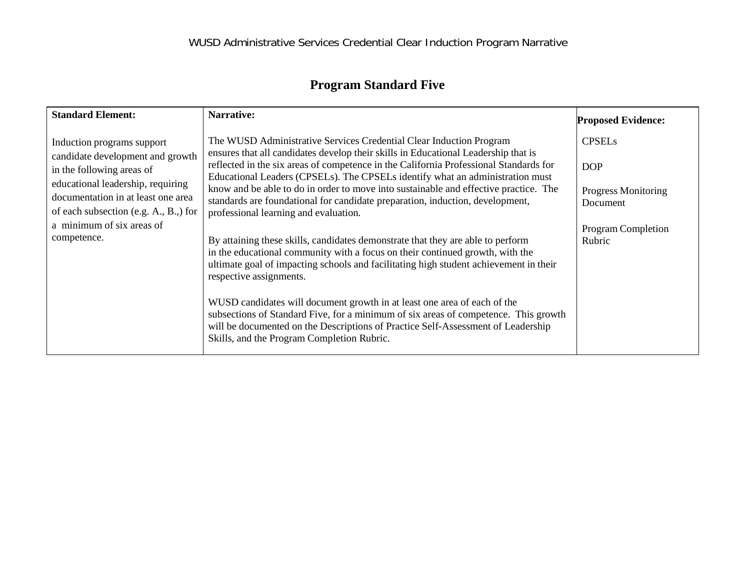| <b>Standard Element:</b>                                                                                                                                                                                                                                    | Narrative:                                                                                                                                                                                                                                                                                                                                                                                                                                                                                                                                            | <b>Proposed Evidence:</b>                                             |
|-------------------------------------------------------------------------------------------------------------------------------------------------------------------------------------------------------------------------------------------------------------|-------------------------------------------------------------------------------------------------------------------------------------------------------------------------------------------------------------------------------------------------------------------------------------------------------------------------------------------------------------------------------------------------------------------------------------------------------------------------------------------------------------------------------------------------------|-----------------------------------------------------------------------|
| Induction programs support<br>candidate development and growth<br>in the following areas of<br>educational leadership, requiring<br>documentation in at least one area<br>of each subsection (e.g. A., B.,) for<br>a minimum of six areas of<br>competence. | The WUSD Administrative Services Credential Clear Induction Program<br>ensures that all candidates develop their skills in Educational Leadership that is<br>reflected in the six areas of competence in the California Professional Standards for<br>Educational Leaders (CPSELs). The CPSELs identify what an administration must<br>know and be able to do in order to move into sustainable and effective practice. The<br>standards are foundational for candidate preparation, induction, development,<br>professional learning and evaluation. | <b>CPSELs</b><br><b>DOP</b><br><b>Progress Monitoring</b><br>Document |
|                                                                                                                                                                                                                                                             | By attaining these skills, candidates demonstrate that they are able to perform<br>in the educational community with a focus on their continued growth, with the<br>ultimate goal of impacting schools and facilitating high student achievement in their<br>respective assignments.                                                                                                                                                                                                                                                                  | Program Completion<br>Rubric                                          |
|                                                                                                                                                                                                                                                             | WUSD candidates will document growth in at least one area of each of the<br>subsections of Standard Five, for a minimum of six areas of competence. This growth<br>will be documented on the Descriptions of Practice Self-Assessment of Leadership<br>Skills, and the Program Completion Rubric.                                                                                                                                                                                                                                                     |                                                                       |

### **Program Standard Five**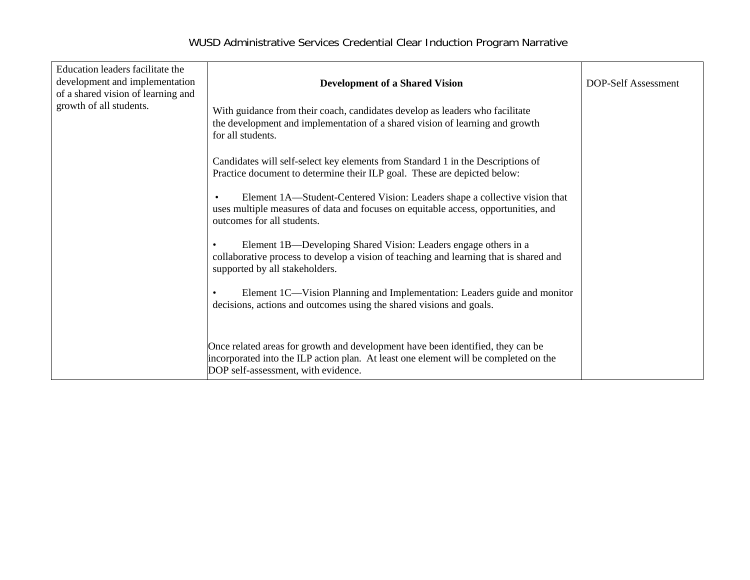| Education leaders facilitate the<br>development and implementation<br>of a shared vision of learning and<br>growth of all students. | <b>Development of a Shared Vision</b>                                                                                                                                                                          | <b>DOP-Self Assessment</b> |
|-------------------------------------------------------------------------------------------------------------------------------------|----------------------------------------------------------------------------------------------------------------------------------------------------------------------------------------------------------------|----------------------------|
|                                                                                                                                     | With guidance from their coach, candidates develop as leaders who facilitate<br>the development and implementation of a shared vision of learning and growth<br>for all students.                              |                            |
|                                                                                                                                     | Candidates will self-select key elements from Standard 1 in the Descriptions of<br>Practice document to determine their ILP goal. These are depicted below:                                                    |                            |
|                                                                                                                                     | Element 1A—Student-Centered Vision: Leaders shape a collective vision that<br>uses multiple measures of data and focuses on equitable access, opportunities, and<br>outcomes for all students.                 |                            |
|                                                                                                                                     | Element 1B—Developing Shared Vision: Leaders engage others in a<br>collaborative process to develop a vision of teaching and learning that is shared and<br>supported by all stakeholders.                     |                            |
|                                                                                                                                     | Element 1C—Vision Planning and Implementation: Leaders guide and monitor<br>decisions, actions and outcomes using the shared visions and goals.                                                                |                            |
|                                                                                                                                     | Once related areas for growth and development have been identified, they can be<br>incorporated into the ILP action plan. At least one element will be completed on the<br>DOP self-assessment, with evidence. |                            |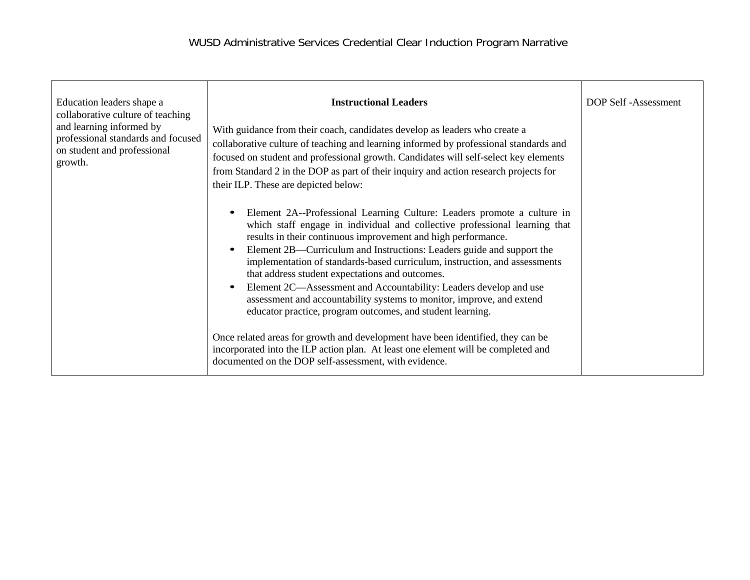| Education leaders shape a<br>collaborative culture of teaching<br>and learning informed by<br>professional standards and focused<br>on student and professional<br>growth. | <b>Instructional Leaders</b><br>With guidance from their coach, candidates develop as leaders who create a<br>collaborative culture of teaching and learning informed by professional standards and<br>focused on student and professional growth. Candidates will self-select key elements<br>from Standard 2 in the DOP as part of their inquiry and action research projects for<br>their ILP. These are depicted below:                                                                                                                                                                                                                                                                                                                                                                                                                                                                                          | DOP Self-Assessment |
|----------------------------------------------------------------------------------------------------------------------------------------------------------------------------|----------------------------------------------------------------------------------------------------------------------------------------------------------------------------------------------------------------------------------------------------------------------------------------------------------------------------------------------------------------------------------------------------------------------------------------------------------------------------------------------------------------------------------------------------------------------------------------------------------------------------------------------------------------------------------------------------------------------------------------------------------------------------------------------------------------------------------------------------------------------------------------------------------------------|---------------------|
|                                                                                                                                                                            | Element 2A--Professional Learning Culture: Leaders promote a culture in<br>$\bullet$<br>which staff engage in individual and collective professional learning that<br>results in their continuous improvement and high performance.<br>Element 2B—Curriculum and Instructions: Leaders guide and support the<br>$\bullet$<br>implementation of standards-based curriculum, instruction, and assessments<br>that address student expectations and outcomes.<br>Element 2C—Assessment and Accountability: Leaders develop and use<br>$\bullet$<br>assessment and accountability systems to monitor, improve, and extend<br>educator practice, program outcomes, and student learning.<br>Once related areas for growth and development have been identified, they can be<br>incorporated into the ILP action plan. At least one element will be completed and<br>documented on the DOP self-assessment, with evidence. |                     |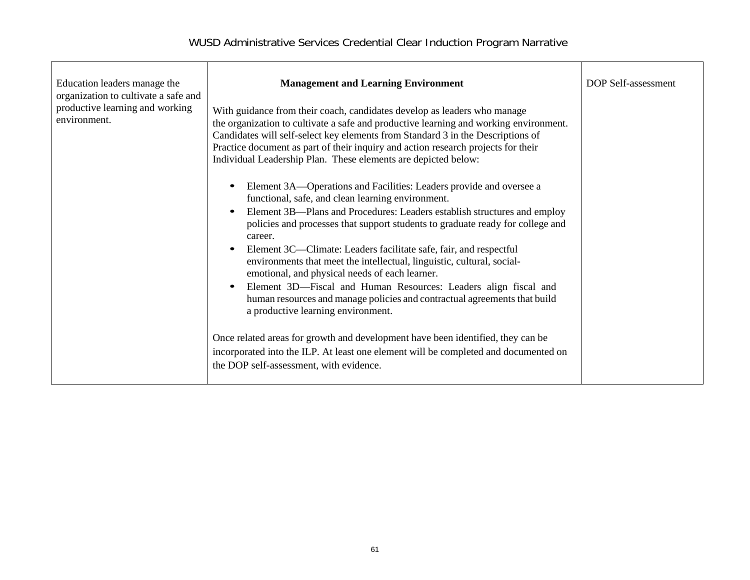| Education leaders manage the<br>organization to cultivate a safe and | <b>Management and Learning Environment</b>                                                                                                                                                                                                                                                                                                                                                                                                                                                                                                                                                                                                                                               | DOP Self-assessment |
|----------------------------------------------------------------------|------------------------------------------------------------------------------------------------------------------------------------------------------------------------------------------------------------------------------------------------------------------------------------------------------------------------------------------------------------------------------------------------------------------------------------------------------------------------------------------------------------------------------------------------------------------------------------------------------------------------------------------------------------------------------------------|---------------------|
| productive learning and working<br>environment.                      | With guidance from their coach, candidates develop as leaders who manage<br>the organization to cultivate a safe and productive learning and working environment.<br>Candidates will self-select key elements from Standard 3 in the Descriptions of<br>Practice document as part of their inquiry and action research projects for their<br>Individual Leadership Plan. These elements are depicted below:                                                                                                                                                                                                                                                                              |                     |
|                                                                      | Element 3A—Operations and Facilities: Leaders provide and oversee a<br>functional, safe, and clean learning environment.<br>Element 3B—Plans and Procedures: Leaders establish structures and employ<br>policies and processes that support students to graduate ready for college and<br>career.<br>Element 3C—Climate: Leaders facilitate safe, fair, and respectful<br>environments that meet the intellectual, linguistic, cultural, social-<br>emotional, and physical needs of each learner.<br>Element 3D—Fiscal and Human Resources: Leaders align fiscal and<br>human resources and manage policies and contractual agreements that build<br>a productive learning environment. |                     |
|                                                                      | Once related areas for growth and development have been identified, they can be<br>incorporated into the ILP. At least one element will be completed and documented on<br>the DOP self-assessment, with evidence.                                                                                                                                                                                                                                                                                                                                                                                                                                                                        |                     |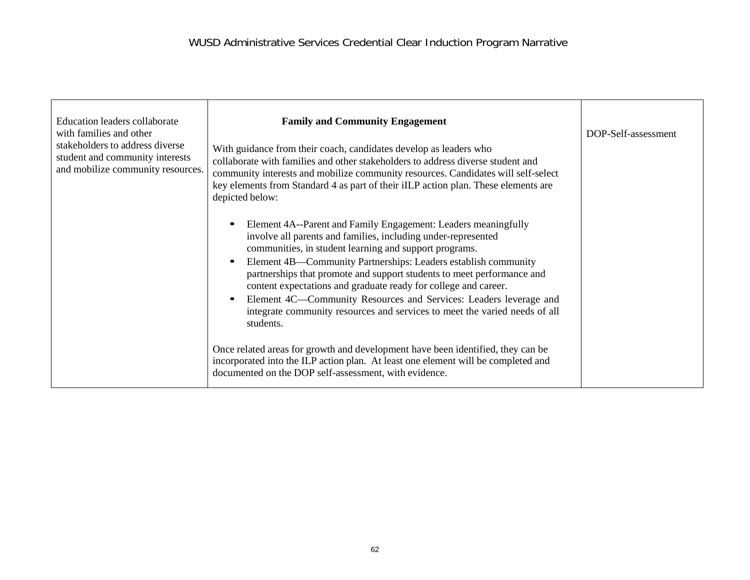| <b>Education leaders collaborate</b><br>with families and other<br>stakeholders to address diverse<br>student and community interests<br>and mobilize community resources. | <b>Family and Community Engagement</b><br>With guidance from their coach, candidates develop as leaders who<br>collaborate with families and other stakeholders to address diverse student and<br>community interests and mobilize community resources. Candidates will self-select<br>key elements from Standard 4 as part of their iILP action plan. These elements are<br>depicted below:                                                                                                                                                                                                                                                                                                                                                                                                                           | DOP-Self-assessment |
|----------------------------------------------------------------------------------------------------------------------------------------------------------------------------|------------------------------------------------------------------------------------------------------------------------------------------------------------------------------------------------------------------------------------------------------------------------------------------------------------------------------------------------------------------------------------------------------------------------------------------------------------------------------------------------------------------------------------------------------------------------------------------------------------------------------------------------------------------------------------------------------------------------------------------------------------------------------------------------------------------------|---------------------|
|                                                                                                                                                                            | Element 4A--Parent and Family Engagement: Leaders meaningfully<br>involve all parents and families, including under-represented<br>communities, in student learning and support programs.<br>Element 4B-Community Partnerships: Leaders establish community<br>partnerships that promote and support students to meet performance and<br>content expectations and graduate ready for college and career.<br>Element 4C—Community Resources and Services: Leaders leverage and<br>$\bullet$<br>integrate community resources and services to meet the varied needs of all<br>students.<br>Once related areas for growth and development have been identified, they can be<br>incorporated into the ILP action plan. At least one element will be completed and<br>documented on the DOP self-assessment, with evidence. |                     |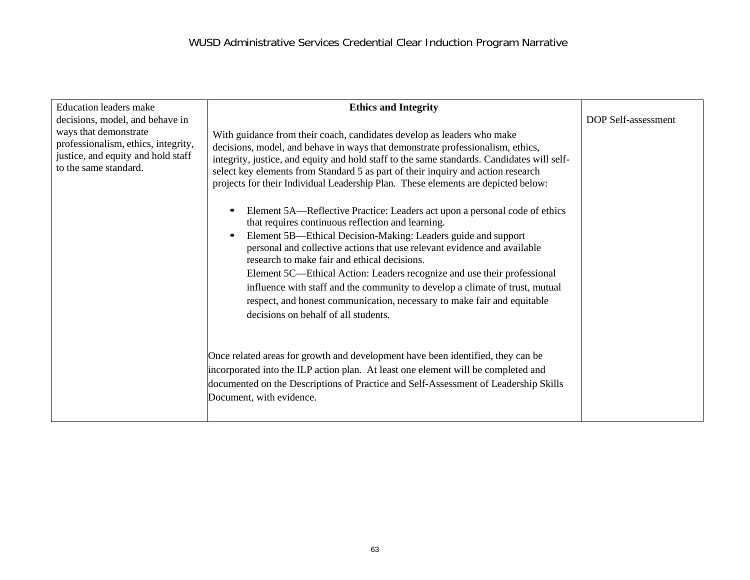| <b>Education leaders make</b>                                                                                               | <b>Ethics and Integrity</b>                                                                                                                                                                                                                                                                                                                                                                                                                                                                                                                                                                                                                                                                                                                                                                                                                                                                                                                                                                                                                   |                     |
|-----------------------------------------------------------------------------------------------------------------------------|-----------------------------------------------------------------------------------------------------------------------------------------------------------------------------------------------------------------------------------------------------------------------------------------------------------------------------------------------------------------------------------------------------------------------------------------------------------------------------------------------------------------------------------------------------------------------------------------------------------------------------------------------------------------------------------------------------------------------------------------------------------------------------------------------------------------------------------------------------------------------------------------------------------------------------------------------------------------------------------------------------------------------------------------------|---------------------|
| decisions, model, and behave in                                                                                             |                                                                                                                                                                                                                                                                                                                                                                                                                                                                                                                                                                                                                                                                                                                                                                                                                                                                                                                                                                                                                                               | DOP Self-assessment |
| ways that demonstrate<br>professionalism, ethics, integrity,<br>justice, and equity and hold staff<br>to the same standard. | With guidance from their coach, candidates develop as leaders who make<br>decisions, model, and behave in ways that demonstrate professionalism, ethics,<br>integrity, justice, and equity and hold staff to the same standards. Candidates will self-<br>select key elements from Standard 5 as part of their inquiry and action research<br>projects for their Individual Leadership Plan. These elements are depicted below:<br>Element 5A—Reflective Practice: Leaders act upon a personal code of ethics<br>that requires continuous reflection and learning.<br>Element 5B-Ethical Decision-Making: Leaders guide and support<br>personal and collective actions that use relevant evidence and available<br>research to make fair and ethical decisions.<br>Element 5C—Ethical Action: Leaders recognize and use their professional<br>influence with staff and the community to develop a climate of trust, mutual<br>respect, and honest communication, necessary to make fair and equitable<br>decisions on behalf of all students. |                     |
|                                                                                                                             | Once related areas for growth and development have been identified, they can be<br>incorporated into the ILP action plan. At least one element will be completed and<br>documented on the Descriptions of Practice and Self-Assessment of Leadership Skills<br>Document, with evidence.                                                                                                                                                                                                                                                                                                                                                                                                                                                                                                                                                                                                                                                                                                                                                       |                     |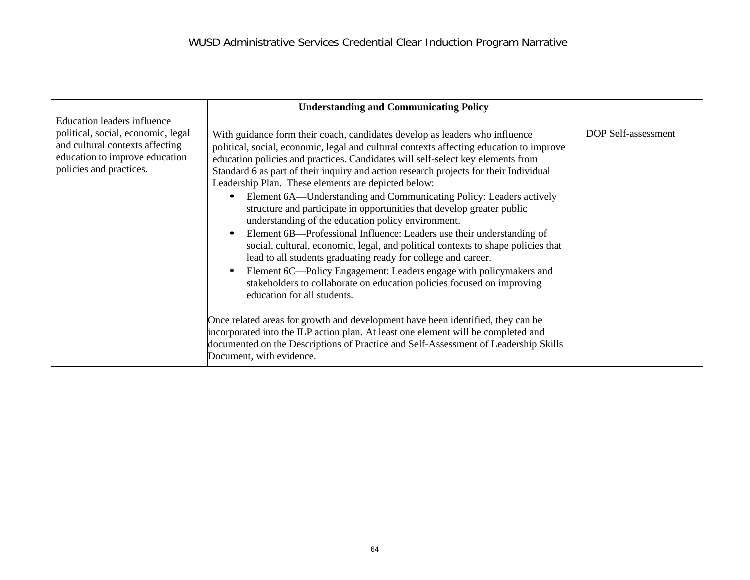|                                                                                                                                                                          | <b>Understanding and Communicating Policy</b>                                                                                                                                                                                                                                                                                                                                                                                                                                                                                                                                                                                                                                                                                                                                                                                                                                                                                                                                                                                 |                     |
|--------------------------------------------------------------------------------------------------------------------------------------------------------------------------|-------------------------------------------------------------------------------------------------------------------------------------------------------------------------------------------------------------------------------------------------------------------------------------------------------------------------------------------------------------------------------------------------------------------------------------------------------------------------------------------------------------------------------------------------------------------------------------------------------------------------------------------------------------------------------------------------------------------------------------------------------------------------------------------------------------------------------------------------------------------------------------------------------------------------------------------------------------------------------------------------------------------------------|---------------------|
| <b>Education leaders influence</b><br>political, social, economic, legal<br>and cultural contexts affecting<br>education to improve education<br>policies and practices. | With guidance form their coach, candidates develop as leaders who influence<br>political, social, economic, legal and cultural contexts affecting education to improve<br>education policies and practices. Candidates will self-select key elements from<br>Standard 6 as part of their inquiry and action research projects for their Individual<br>Leadership Plan. These elements are depicted below:<br>Element 6A—Understanding and Communicating Policy: Leaders actively<br>structure and participate in opportunities that develop greater public<br>understanding of the education policy environment.<br>Element 6B—Professional Influence: Leaders use their understanding of<br>social, cultural, economic, legal, and political contexts to shape policies that<br>lead to all students graduating ready for college and career.<br>Element 6C—Policy Engagement: Leaders engage with policymakers and<br>stakeholders to collaborate on education policies focused on improving<br>education for all students. | DOP Self-assessment |
|                                                                                                                                                                          | Once related areas for growth and development have been identified, they can be<br>incorporated into the ILP action plan. At least one element will be completed and<br>documented on the Descriptions of Practice and Self-Assessment of Leadership Skills<br>Document, with evidence.                                                                                                                                                                                                                                                                                                                                                                                                                                                                                                                                                                                                                                                                                                                                       |                     |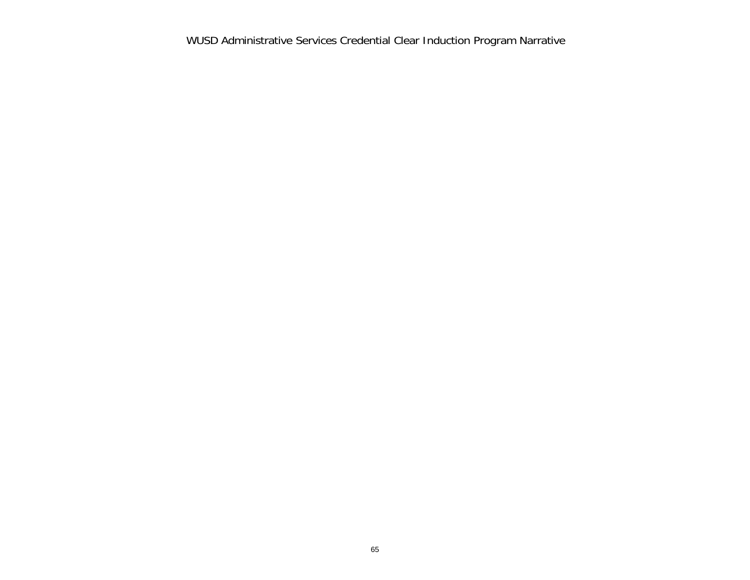WUSD Administrative Services Credential Clear Induction Program Narrative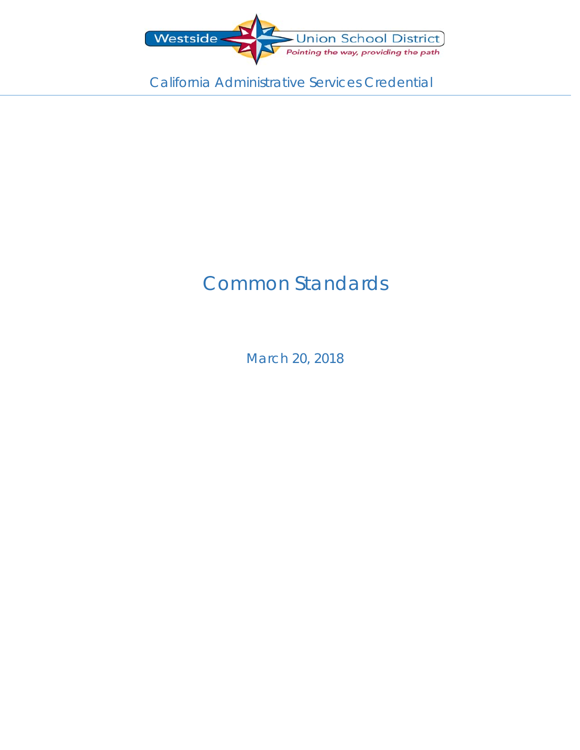

# Common Standards

March 20, 2018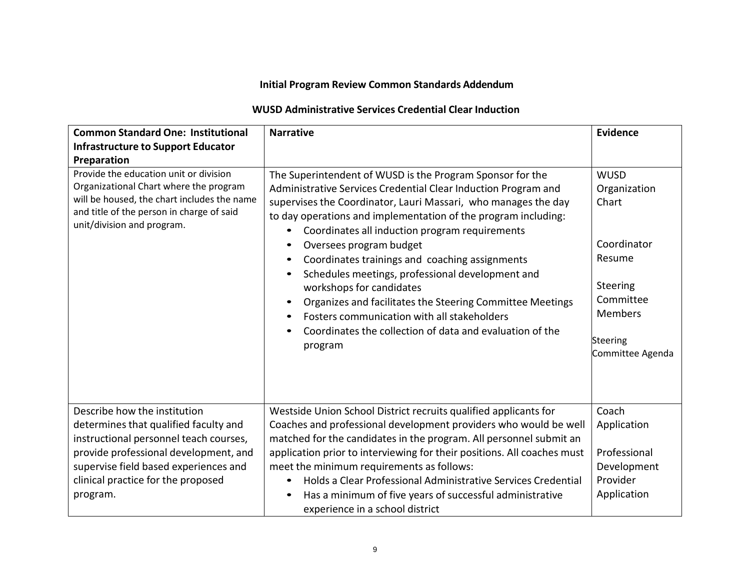#### **Initial Program Review Common Standards Addendum**

#### **WUSD Administrative Services Credential Clear Induction**

| <b>Common Standard One: Institutional</b><br><b>Infrastructure to Support Educator</b><br>Preparation                                                                                                                                               | <b>Narrative</b>                                                                                                                                                                                                                                                                                                                                                                                                                                                                                                                                                                                                                                                  | <b>Evidence</b>                                                                                                                                 |
|-----------------------------------------------------------------------------------------------------------------------------------------------------------------------------------------------------------------------------------------------------|-------------------------------------------------------------------------------------------------------------------------------------------------------------------------------------------------------------------------------------------------------------------------------------------------------------------------------------------------------------------------------------------------------------------------------------------------------------------------------------------------------------------------------------------------------------------------------------------------------------------------------------------------------------------|-------------------------------------------------------------------------------------------------------------------------------------------------|
| Provide the education unit or division<br>Organizational Chart where the program<br>will be housed, the chart includes the name<br>and title of the person in charge of said<br>unit/division and program.                                          | The Superintendent of WUSD is the Program Sponsor for the<br>Administrative Services Credential Clear Induction Program and<br>supervises the Coordinator, Lauri Massari, who manages the day<br>to day operations and implementation of the program including:<br>Coordinates all induction program requirements<br>Oversees program budget<br>Coordinates trainings and coaching assignments<br>Schedules meetings, professional development and<br>workshops for candidates<br>Organizes and facilitates the Steering Committee Meetings<br>Fosters communication with all stakeholders<br>Coordinates the collection of data and evaluation of the<br>program | <b>WUSD</b><br>Organization<br>Chart<br>Coordinator<br>Resume<br><b>Steering</b><br>Committee<br>Members<br><b>Steering</b><br>Committee Agenda |
| Describe how the institution<br>determines that qualified faculty and<br>instructional personnel teach courses,<br>provide professional development, and<br>supervise field based experiences and<br>clinical practice for the proposed<br>program. | Westside Union School District recruits qualified applicants for<br>Coaches and professional development providers who would be well<br>matched for the candidates in the program. All personnel submit an<br>application prior to interviewing for their positions. All coaches must<br>meet the minimum requirements as follows:<br>Holds a Clear Professional Administrative Services Credential<br>Has a minimum of five years of successful administrative<br>experience in a school district                                                                                                                                                                | Coach<br>Application<br>Professional<br>Development<br>Provider<br>Application                                                                  |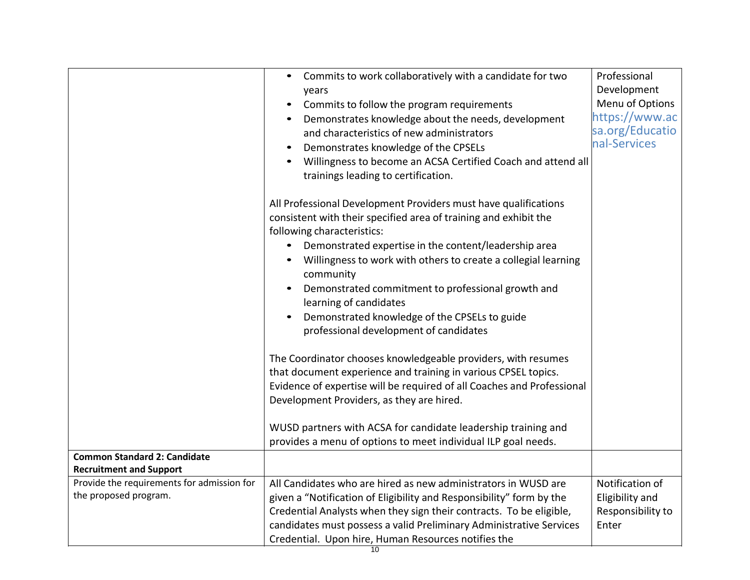|                                                                       | Commits to work collaboratively with a candidate for two<br>years<br>Commits to follow the program requirements<br>Demonstrates knowledge about the needs, development<br>and characteristics of new administrators<br>Demonstrates knowledge of the CPSELs<br>Willingness to become an ACSA Certified Coach and attend all<br>trainings leading to certification.                                                                                                                   | Professional<br>Development<br>Menu of Options<br>https://www.ac<br>sa.org/Educatio<br>nal-Services |
|-----------------------------------------------------------------------|--------------------------------------------------------------------------------------------------------------------------------------------------------------------------------------------------------------------------------------------------------------------------------------------------------------------------------------------------------------------------------------------------------------------------------------------------------------------------------------|-----------------------------------------------------------------------------------------------------|
|                                                                       | All Professional Development Providers must have qualifications<br>consistent with their specified area of training and exhibit the<br>following characteristics:<br>Demonstrated expertise in the content/leadership area<br>Willingness to work with others to create a collegial learning<br>community<br>Demonstrated commitment to professional growth and<br>learning of candidates<br>Demonstrated knowledge of the CPSELs to guide<br>professional development of candidates |                                                                                                     |
|                                                                       | The Coordinator chooses knowledgeable providers, with resumes<br>that document experience and training in various CPSEL topics.<br>Evidence of expertise will be required of all Coaches and Professional<br>Development Providers, as they are hired.<br>WUSD partners with ACSA for candidate leadership training and<br>provides a menu of options to meet individual ILP goal needs.                                                                                             |                                                                                                     |
| <b>Common Standard 2: Candidate</b><br><b>Recruitment and Support</b> |                                                                                                                                                                                                                                                                                                                                                                                                                                                                                      |                                                                                                     |
| Provide the requirements for admission for<br>the proposed program.   | All Candidates who are hired as new administrators in WUSD are<br>given a "Notification of Eligibility and Responsibility" form by the<br>Credential Analysts when they sign their contracts. To be eligible,<br>candidates must possess a valid Preliminary Administrative Services<br>Credential. Upon hire, Human Resources notifies the                                                                                                                                          | Notification of<br>Eligibility and<br>Responsibility to<br>Enter                                    |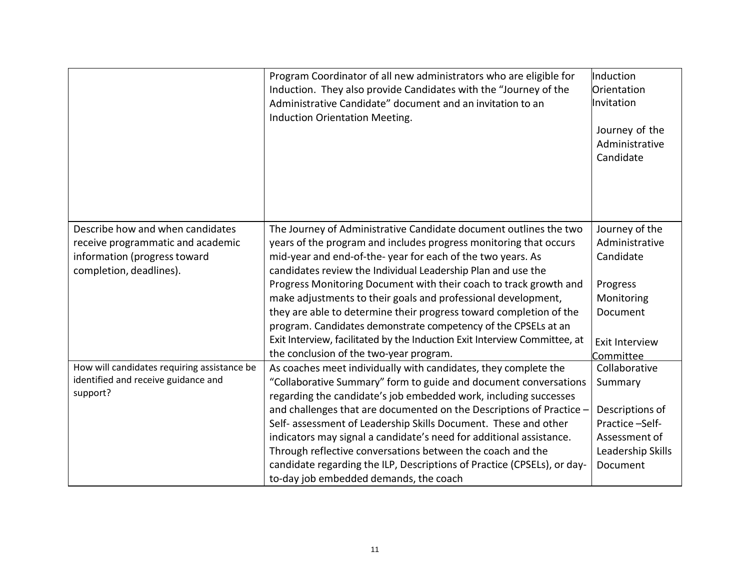|                                                                                                                                  | Program Coordinator of all new administrators who are eligible for<br>Induction. They also provide Candidates with the "Journey of the<br>Administrative Candidate" document and an invitation to an<br>Induction Orientation Meeting.                                                                                                                                                                                                                                                                                                                                                                                                                                     | Induction<br>Orientation<br>Invitation<br>Journey of the<br>Administrative<br>Candidate                                   |
|----------------------------------------------------------------------------------------------------------------------------------|----------------------------------------------------------------------------------------------------------------------------------------------------------------------------------------------------------------------------------------------------------------------------------------------------------------------------------------------------------------------------------------------------------------------------------------------------------------------------------------------------------------------------------------------------------------------------------------------------------------------------------------------------------------------------|---------------------------------------------------------------------------------------------------------------------------|
| Describe how and when candidates<br>receive programmatic and academic<br>information (progress toward<br>completion, deadlines). | The Journey of Administrative Candidate document outlines the two<br>years of the program and includes progress monitoring that occurs<br>mid-year and end-of-the-year for each of the two years. As<br>candidates review the Individual Leadership Plan and use the<br>Progress Monitoring Document with their coach to track growth and<br>make adjustments to their goals and professional development,<br>they are able to determine their progress toward completion of the<br>program. Candidates demonstrate competency of the CPSELs at an<br>Exit Interview, facilitated by the Induction Exit Interview Committee, at<br>the conclusion of the two-year program. | Journey of the<br>Administrative<br>Candidate<br>Progress<br>Monitoring<br>Document<br><b>Exit Interview</b><br>Committee |
| How will candidates requiring assistance be<br>identified and receive guidance and<br>support?                                   | As coaches meet individually with candidates, they complete the<br>"Collaborative Summary" form to guide and document conversations<br>regarding the candidate's job embedded work, including successes<br>and challenges that are documented on the Descriptions of Practice -<br>Self- assessment of Leadership Skills Document. These and other<br>indicators may signal a candidate's need for additional assistance.<br>Through reflective conversations between the coach and the<br>candidate regarding the ILP, Descriptions of Practice (CPSELs), or day-<br>to-day job embedded demands, the coach                                                               | Collaborative<br>Summary<br>Descriptions of<br>Practice-Self-<br>Assessment of<br>Leadership Skills<br>Document           |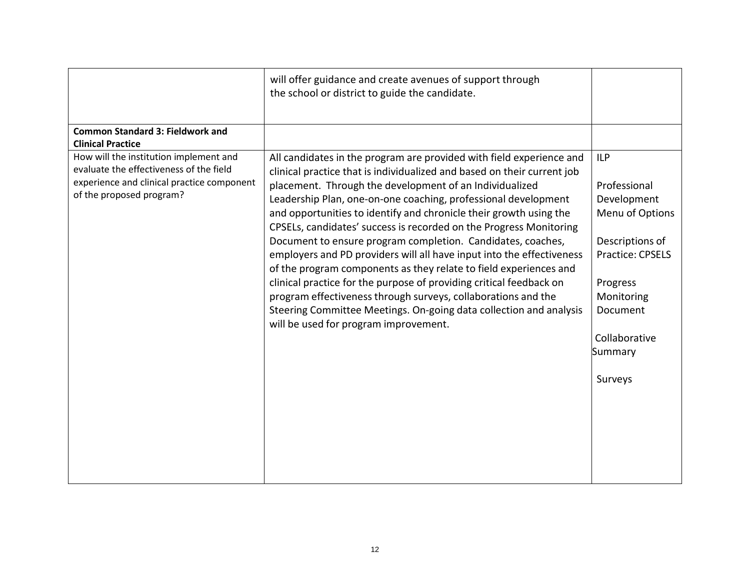|                                                                                                                                                             | will offer guidance and create avenues of support through<br>the school or district to guide the candidate.                                                                                                                                                                                                                                                                                                                                                                                                                                                                                                                                                                                                                                                                                                                                                                                  |                                                                                                                                                                                         |
|-------------------------------------------------------------------------------------------------------------------------------------------------------------|----------------------------------------------------------------------------------------------------------------------------------------------------------------------------------------------------------------------------------------------------------------------------------------------------------------------------------------------------------------------------------------------------------------------------------------------------------------------------------------------------------------------------------------------------------------------------------------------------------------------------------------------------------------------------------------------------------------------------------------------------------------------------------------------------------------------------------------------------------------------------------------------|-----------------------------------------------------------------------------------------------------------------------------------------------------------------------------------------|
| <b>Common Standard 3: Fieldwork and</b><br><b>Clinical Practice</b>                                                                                         |                                                                                                                                                                                                                                                                                                                                                                                                                                                                                                                                                                                                                                                                                                                                                                                                                                                                                              |                                                                                                                                                                                         |
| How will the institution implement and<br>evaluate the effectiveness of the field<br>experience and clinical practice component<br>of the proposed program? | All candidates in the program are provided with field experience and<br>clinical practice that is individualized and based on their current job<br>placement. Through the development of an Individualized<br>Leadership Plan, one-on-one coaching, professional development<br>and opportunities to identify and chronicle their growth using the<br>CPSELs, candidates' success is recorded on the Progress Monitoring<br>Document to ensure program completion. Candidates, coaches,<br>employers and PD providers will all have input into the effectiveness<br>of the program components as they relate to field experiences and<br>clinical practice for the purpose of providing critical feedback on<br>program effectiveness through surveys, collaborations and the<br>Steering Committee Meetings. On-going data collection and analysis<br>will be used for program improvement. | <b>ILP</b><br>Professional<br>Development<br>Menu of Options<br>Descriptions of<br><b>Practice: CPSELS</b><br>Progress<br>Monitoring<br>Document<br>Collaborative<br>Summary<br>Surveys |
|                                                                                                                                                             |                                                                                                                                                                                                                                                                                                                                                                                                                                                                                                                                                                                                                                                                                                                                                                                                                                                                                              |                                                                                                                                                                                         |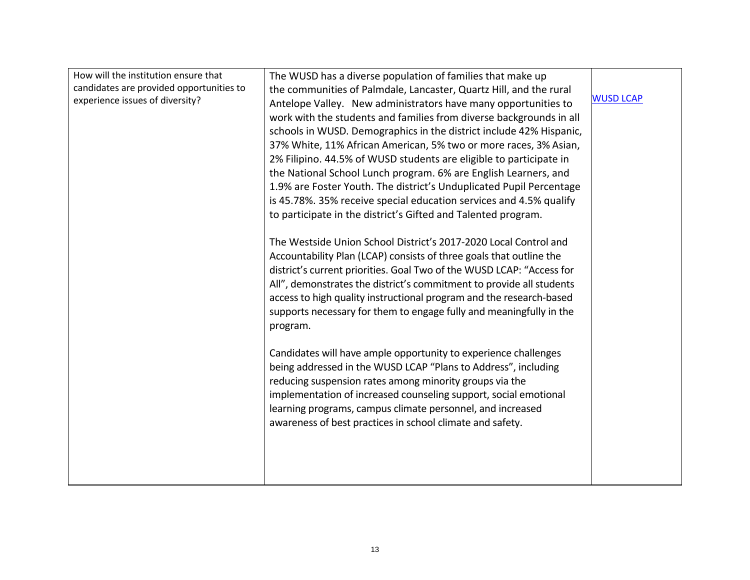| How will the institution ensure that<br>candidates are provided opportunities to<br>experience issues of diversity? | The WUSD has a diverse population of families that make up<br>the communities of Palmdale, Lancaster, Quartz Hill, and the rural<br>Antelope Valley. New administrators have many opportunities to<br>work with the students and families from diverse backgrounds in all<br>schools in WUSD. Demographics in the district include 42% Hispanic,<br>37% White, 11% African American, 5% two or more races, 3% Asian,<br>2% Filipino. 44.5% of WUSD students are eligible to participate in<br>the National School Lunch program. 6% are English Learners, and<br>1.9% are Foster Youth. The district's Unduplicated Pupil Percentage<br>is 45.78%. 35% receive special education services and 4.5% qualify<br>to participate in the district's Gifted and Talented program.<br>The Westside Union School District's 2017-2020 Local Control and<br>Accountability Plan (LCAP) consists of three goals that outline the<br>district's current priorities. Goal Two of the WUSD LCAP: "Access for<br>All", demonstrates the district's commitment to provide all students<br>access to high quality instructional program and the research-based<br>supports necessary for them to engage fully and meaningfully in the<br>program.<br>Candidates will have ample opportunity to experience challenges<br>being addressed in the WUSD LCAP "Plans to Address", including<br>reducing suspension rates among minority groups via the<br>implementation of increased counseling support, social emotional<br>learning programs, campus climate personnel, and increased<br>awareness of best practices in school climate and safety. | <b>WUSD LCAP</b> |
|---------------------------------------------------------------------------------------------------------------------|----------------------------------------------------------------------------------------------------------------------------------------------------------------------------------------------------------------------------------------------------------------------------------------------------------------------------------------------------------------------------------------------------------------------------------------------------------------------------------------------------------------------------------------------------------------------------------------------------------------------------------------------------------------------------------------------------------------------------------------------------------------------------------------------------------------------------------------------------------------------------------------------------------------------------------------------------------------------------------------------------------------------------------------------------------------------------------------------------------------------------------------------------------------------------------------------------------------------------------------------------------------------------------------------------------------------------------------------------------------------------------------------------------------------------------------------------------------------------------------------------------------------------------------------------------------------------------------------------------------------------------|------------------|
|                                                                                                                     |                                                                                                                                                                                                                                                                                                                                                                                                                                                                                                                                                                                                                                                                                                                                                                                                                                                                                                                                                                                                                                                                                                                                                                                                                                                                                                                                                                                                                                                                                                                                                                                                                                  |                  |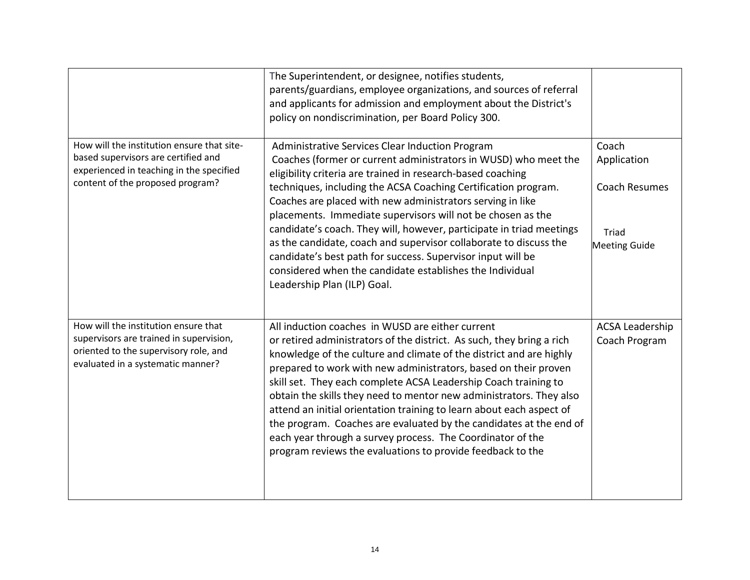|                                                                                                                                                                   | The Superintendent, or designee, notifies students,<br>parents/guardians, employee organizations, and sources of referral<br>and applicants for admission and employment about the District's<br>policy on nondiscrimination, per Board Policy 300.                                                                                                                                                                                                                                                                                                                                                                                                                                     |                                                                               |
|-------------------------------------------------------------------------------------------------------------------------------------------------------------------|-----------------------------------------------------------------------------------------------------------------------------------------------------------------------------------------------------------------------------------------------------------------------------------------------------------------------------------------------------------------------------------------------------------------------------------------------------------------------------------------------------------------------------------------------------------------------------------------------------------------------------------------------------------------------------------------|-------------------------------------------------------------------------------|
| How will the institution ensure that site-<br>based supervisors are certified and<br>experienced in teaching in the specified<br>content of the proposed program? | Administrative Services Clear Induction Program<br>Coaches (former or current administrators in WUSD) who meet the<br>eligibility criteria are trained in research-based coaching<br>techniques, including the ACSA Coaching Certification program.<br>Coaches are placed with new administrators serving in like<br>placements. Immediate supervisors will not be chosen as the<br>candidate's coach. They will, however, participate in triad meetings<br>as the candidate, coach and supervisor collaborate to discuss the<br>candidate's best path for success. Supervisor input will be<br>considered when the candidate establishes the Individual<br>Leadership Plan (ILP) Goal. | Coach<br>Application<br><b>Coach Resumes</b><br>Triad<br><b>Meeting Guide</b> |
| How will the institution ensure that<br>supervisors are trained in supervision,<br>oriented to the supervisory role, and<br>evaluated in a systematic manner?     | All induction coaches in WUSD are either current<br>or retired administrators of the district. As such, they bring a rich<br>knowledge of the culture and climate of the district and are highly<br>prepared to work with new administrators, based on their proven<br>skill set. They each complete ACSA Leadership Coach training to<br>obtain the skills they need to mentor new administrators. They also<br>attend an initial orientation training to learn about each aspect of<br>the program. Coaches are evaluated by the candidates at the end of<br>each year through a survey process. The Coordinator of the<br>program reviews the evaluations to provide feedback to the | <b>ACSA Leadership</b><br>Coach Program                                       |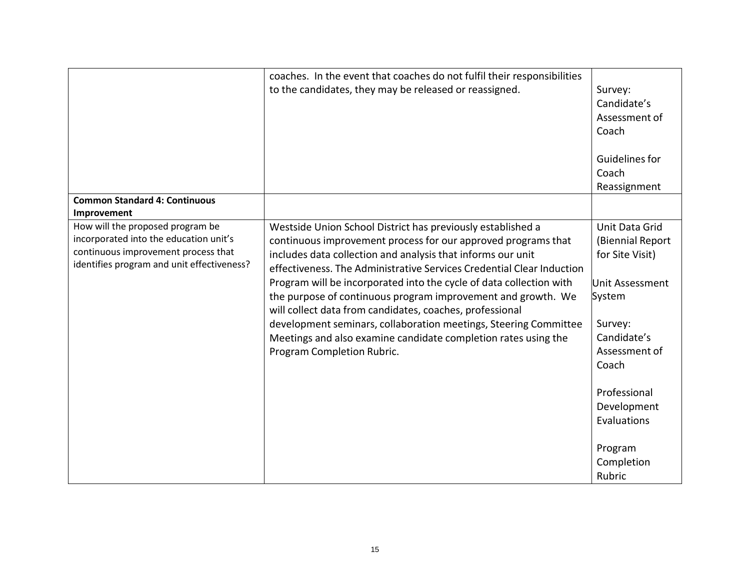|                                                                                                                                                                 | coaches. In the event that coaches do not fulfil their responsibilities<br>to the candidates, they may be released or reassigned.                                                                                                                                                                                                                                                                                                                                                                                                                                                                                                           | Survey:<br>Candidate's<br>Assessment of<br>Coach<br>Guidelines for<br>Coach<br>Reassignment                                                                                  |
|-----------------------------------------------------------------------------------------------------------------------------------------------------------------|---------------------------------------------------------------------------------------------------------------------------------------------------------------------------------------------------------------------------------------------------------------------------------------------------------------------------------------------------------------------------------------------------------------------------------------------------------------------------------------------------------------------------------------------------------------------------------------------------------------------------------------------|------------------------------------------------------------------------------------------------------------------------------------------------------------------------------|
| <b>Common Standard 4: Continuous</b><br>Improvement                                                                                                             |                                                                                                                                                                                                                                                                                                                                                                                                                                                                                                                                                                                                                                             |                                                                                                                                                                              |
| How will the proposed program be<br>incorporated into the education unit's<br>continuous improvement process that<br>identifies program and unit effectiveness? | Westside Union School District has previously established a<br>continuous improvement process for our approved programs that<br>includes data collection and analysis that informs our unit<br>effectiveness. The Administrative Services Credential Clear Induction<br>Program will be incorporated into the cycle of data collection with<br>the purpose of continuous program improvement and growth. We<br>will collect data from candidates, coaches, professional<br>development seminars, collaboration meetings, Steering Committee<br>Meetings and also examine candidate completion rates using the<br>Program Completion Rubric. | Unit Data Grid<br>(Biennial Report<br>for Site Visit)<br><b>Unit Assessment</b><br>System<br>Survey:<br>Candidate's<br>Assessment of<br>Coach<br>Professional<br>Development |
|                                                                                                                                                                 |                                                                                                                                                                                                                                                                                                                                                                                                                                                                                                                                                                                                                                             | Evaluations<br>Program<br>Completion<br>Rubric                                                                                                                               |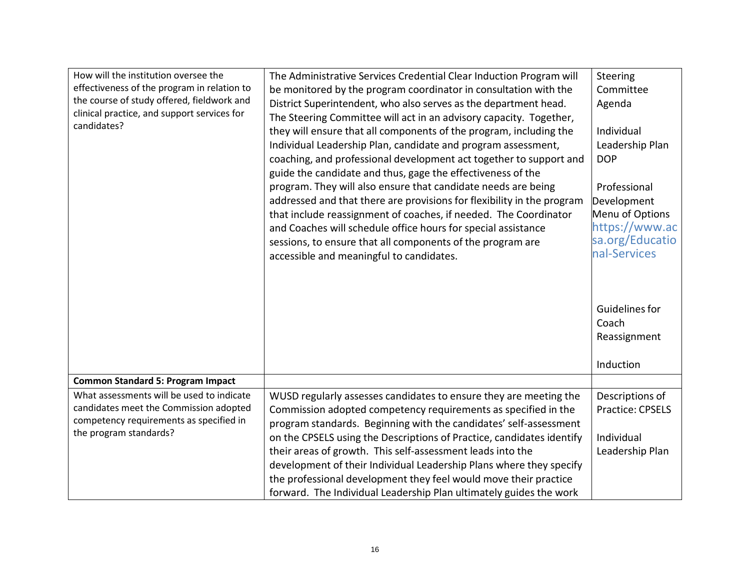| How will the institution oversee the<br>effectiveness of the program in relation to<br>the course of study offered, fieldwork and<br>clinical practice, and support services for<br>candidates? | The Administrative Services Credential Clear Induction Program will<br>be monitored by the program coordinator in consultation with the<br>District Superintendent, who also serves as the department head.<br>The Steering Committee will act in an advisory capacity. Together,<br>they will ensure that all components of the program, including the<br>Individual Leadership Plan, candidate and program assessment,<br>coaching, and professional development act together to support and<br>guide the candidate and thus, gage the effectiveness of the<br>program. They will also ensure that candidate needs are being<br>addressed and that there are provisions for flexibility in the program<br>that include reassignment of coaches, if needed. The Coordinator<br>and Coaches will schedule office hours for special assistance<br>sessions, to ensure that all components of the program are<br>accessible and meaningful to candidates. | Steering<br>Committee<br>Agenda<br>Individual<br>Leadership Plan<br><b>DOP</b><br>Professional<br>Development<br>Menu of Options<br>https://www.ac<br>sa.org/Educatio<br>nal-Services<br>Guidelines for<br>Coach |
|-------------------------------------------------------------------------------------------------------------------------------------------------------------------------------------------------|---------------------------------------------------------------------------------------------------------------------------------------------------------------------------------------------------------------------------------------------------------------------------------------------------------------------------------------------------------------------------------------------------------------------------------------------------------------------------------------------------------------------------------------------------------------------------------------------------------------------------------------------------------------------------------------------------------------------------------------------------------------------------------------------------------------------------------------------------------------------------------------------------------------------------------------------------------|------------------------------------------------------------------------------------------------------------------------------------------------------------------------------------------------------------------|
|                                                                                                                                                                                                 |                                                                                                                                                                                                                                                                                                                                                                                                                                                                                                                                                                                                                                                                                                                                                                                                                                                                                                                                                         | Reassignment<br>Induction                                                                                                                                                                                        |
| <b>Common Standard 5: Program Impact</b>                                                                                                                                                        |                                                                                                                                                                                                                                                                                                                                                                                                                                                                                                                                                                                                                                                                                                                                                                                                                                                                                                                                                         |                                                                                                                                                                                                                  |
| What assessments will be used to indicate                                                                                                                                                       | WUSD regularly assesses candidates to ensure they are meeting the                                                                                                                                                                                                                                                                                                                                                                                                                                                                                                                                                                                                                                                                                                                                                                                                                                                                                       | Descriptions of                                                                                                                                                                                                  |
| candidates meet the Commission adopted<br>competency requirements as specified in<br>the program standards?                                                                                     | Commission adopted competency requirements as specified in the<br>program standards. Beginning with the candidates' self-assessment<br>on the CPSELS using the Descriptions of Practice, candidates identify<br>their areas of growth. This self-assessment leads into the<br>development of their Individual Leadership Plans where they specify<br>the professional development they feel would move their practice<br>forward. The Individual Leadership Plan ultimately guides the work                                                                                                                                                                                                                                                                                                                                                                                                                                                             | <b>Practice: CPSELS</b><br>Individual<br>Leadership Plan                                                                                                                                                         |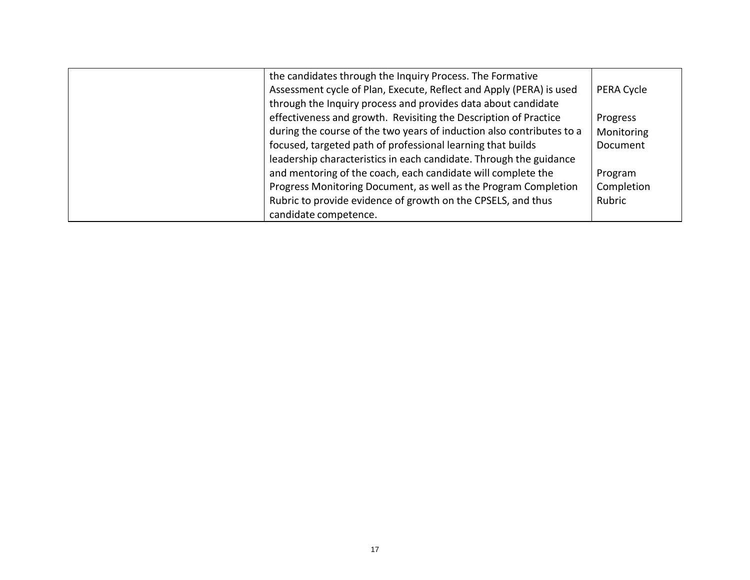| the candidates through the Inquiry Process. The Formative             |            |
|-----------------------------------------------------------------------|------------|
| Assessment cycle of Plan, Execute, Reflect and Apply (PERA) is used   | PERA Cycle |
| through the Inquiry process and provides data about candidate         |            |
| effectiveness and growth. Revisiting the Description of Practice      | Progress   |
| during the course of the two years of induction also contributes to a | Monitoring |
| focused, targeted path of professional learning that builds           | Document   |
| leadership characteristics in each candidate. Through the guidance    |            |
| and mentoring of the coach, each candidate will complete the          | Program    |
| Progress Monitoring Document, as well as the Program Completion       | Completion |
| Rubric to provide evidence of growth on the CPSELS, and thus          | Rubric     |
| candidate competence.                                                 |            |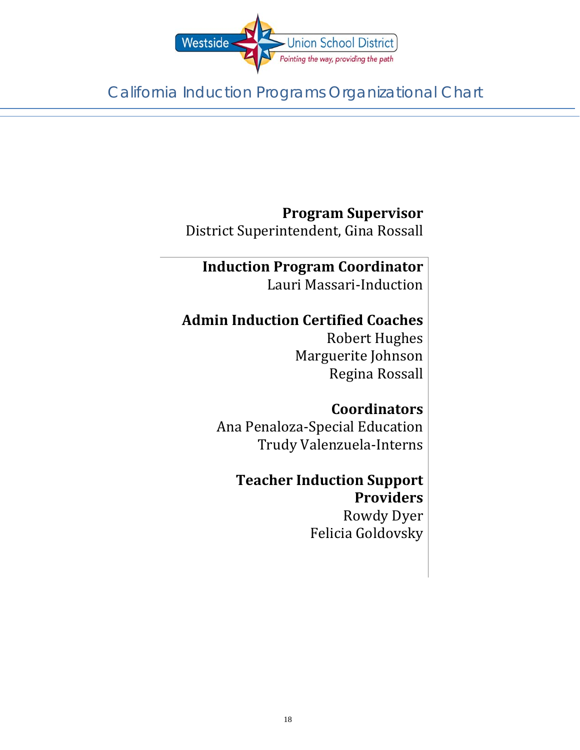

California Induction Programs Organizational Chart

### **Program Supervisor**

District Superintendent, Gina Rossall

### **Induction Program Coordinator** Lauri Massari‐Induction

### **Admin Induction Certified Coaches**

**Robert Hughes** Marguerite Johnson Regina Rossall 

### **Coordinators**

Ana Penaloza-Special Education Trudy Valenzuela‐Interns 

### **Teacher Induction Support Providers Rowdy Dyer**

Felicia Goldovsky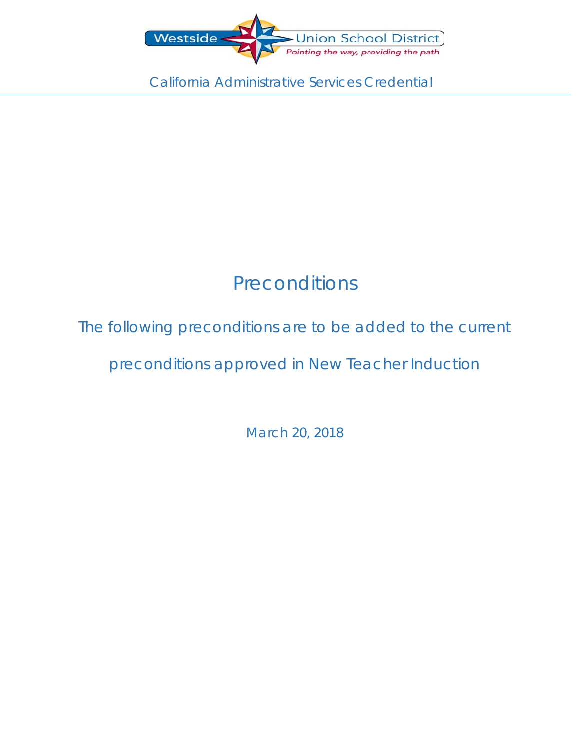

## **Preconditions**

## The following preconditions are to be added to the current

preconditions approved in New Teacher Induction

March 20, 2018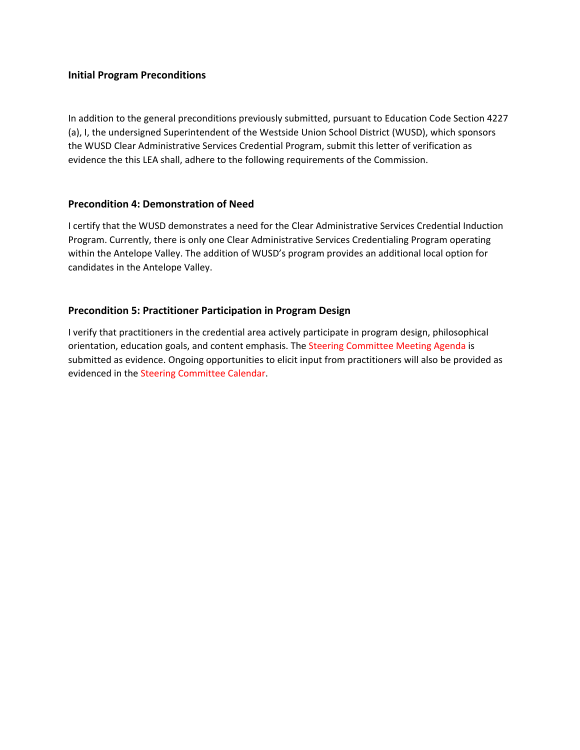#### **Initial Program Preconditions**

In addition to the general preconditions previously submitted, pursuant to Education Code Section 4227 (a), I, the undersigned Superintendent of the Westside Union School District (WUSD), which sponsors the WUSD Clear Administrative Services Credential Program, submit this letter of verification as evidence the this LEA shall, adhere to the following requirements of the Commission.

#### **Precondition 4: Demonstration of Need**

I certify that the WUSD demonstrates a need for the Clear Administrative Services Credential Induction Program. Currently, there is only one Clear Administrative Services Credentialing Program operating within the Antelope Valley. The addition of WUSD's program provides an additional local option for candidates in the Antelope Valley.

#### **Precondition 5: Practitioner Participation in Program Design**

I verify that practitioners in the credential area actively participate in program design, philosophical orientation, education goals, and content emphasis. The Steering Committee Meeting Agenda is submitted as evidence. Ongoing opportunities to elicit input from practitioners will also be provided as evidenced in the Steering Committee Calendar.